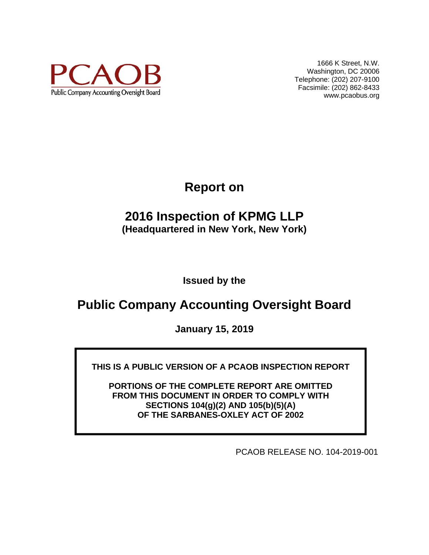

1666 K Street, N.W. Washington, DC 20006 Telephone: (202) 207-9100 Facsimile: (202) 862-8433 www.pcaobus.org

**Report on** 

# **2016 Inspection of KPMG LLP (Headquartered in New York, New York)**

**Issued by the** 

# **Public Company Accounting Oversight Board**

**January 15, 2019** 

**THIS IS A PUBLIC VERSION OF A PCAOB INSPECTION REPORT** 

**PORTIONS OF THE COMPLETE REPORT ARE OMITTED FROM THIS DOCUMENT IN ORDER TO COMPLY WITH SECTIONS 104(g)(2) AND 105(b)(5)(A) OF THE SARBANES-OXLEY ACT OF 2002** 

PCAOB RELEASE NO. 104-2019-001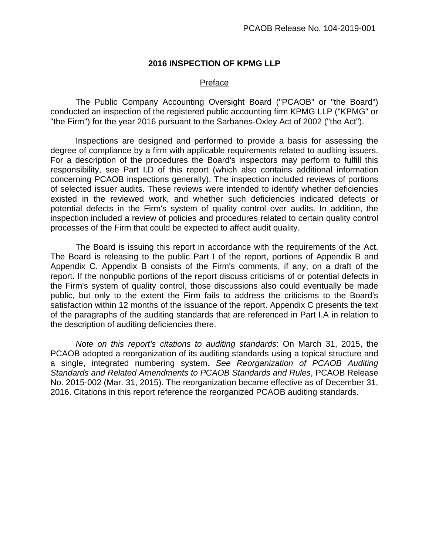#### **2016 INSPECTION OF KPMG LLP**

#### Preface

The Public Company Accounting Oversight Board ("PCAOB" or "the Board") conducted an inspection of the registered public accounting firm KPMG LLP ("KPMG" or "the Firm") for the year 2016 pursuant to the Sarbanes-Oxley Act of 2002 ("the Act").

Inspections are designed and performed to provide a basis for assessing the degree of compliance by a firm with applicable requirements related to auditing issuers. For a description of the procedures the Board's inspectors may perform to fulfill this responsibility, see Part I.D of this report (which also contains additional information concerning PCAOB inspections generally). The inspection included reviews of portions of selected issuer audits. These reviews were intended to identify whether deficiencies existed in the reviewed work, and whether such deficiencies indicated defects or potential defects in the Firm's system of quality control over audits. In addition, the inspection included a review of policies and procedures related to certain quality control processes of the Firm that could be expected to affect audit quality.

The Board is issuing this report in accordance with the requirements of the Act. The Board is releasing to the public Part I of the report, portions of Appendix B and Appendix C. Appendix B consists of the Firm's comments, if any, on a draft of the report. If the nonpublic portions of the report discuss criticisms of or potential defects in the Firm's system of quality control, those discussions also could eventually be made public, but only to the extent the Firm fails to address the criticisms to the Board's satisfaction within 12 months of the issuance of the report. Appendix C presents the text of the paragraphs of the auditing standards that are referenced in Part I.A in relation to the description of auditing deficiencies there.

*Note on this report's citations to auditing standards*: On March 31, 2015, the PCAOB adopted a reorganization of its auditing standards using a topical structure and a single, integrated numbering system. *See Reorganization of PCAOB Auditing Standards and Related Amendments to PCAOB Standards and Rules*, PCAOB Release No. 2015-002 (Mar. 31, 2015). The reorganization became effective as of December 31, 2016. Citations in this report reference the reorganized PCAOB auditing standards.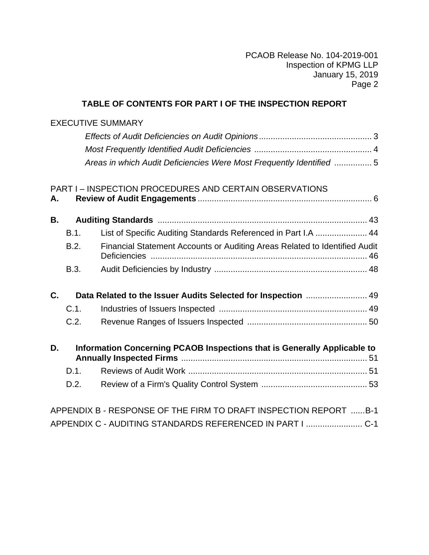# **TABLE OF CONTENTS FOR PART I OF THE INSPECTION REPORT**

# EXECUTIVE SUMMARY

| Areas in which Audit Deficiencies Were Most Frequently Identified 5 |  |
|---------------------------------------------------------------------|--|
|                                                                     |  |

|    |             | <b>PART I-INSPECTION PROCEDURES AND CERTAIN OBSERVATIONS</b>               |  |
|----|-------------|----------------------------------------------------------------------------|--|
| А. |             |                                                                            |  |
| В. |             |                                                                            |  |
|    | <b>B.1.</b> | List of Specific Auditing Standards Referenced in Part I.A  44             |  |
|    | B.2.        | Financial Statement Accounts or Auditing Areas Related to Identified Audit |  |
|    | B.3.        |                                                                            |  |
| C. |             | Data Related to the Issuer Audits Selected for Inspection  49              |  |
|    | C.1.        |                                                                            |  |
|    | C.2.        |                                                                            |  |
| D. |             | Information Concerning PCAOB Inspections that is Generally Applicable to   |  |
|    | D.1.        |                                                                            |  |
|    | D.2.        |                                                                            |  |
|    |             | APPENDIX B - RESPONSE OF THE FIRM TO DRAFT INSPECTION REPORT B-1           |  |

|  | APPENDIX C - AUDITING STANDARDS REFERENCED IN PART I  C-1 |  |
|--|-----------------------------------------------------------|--|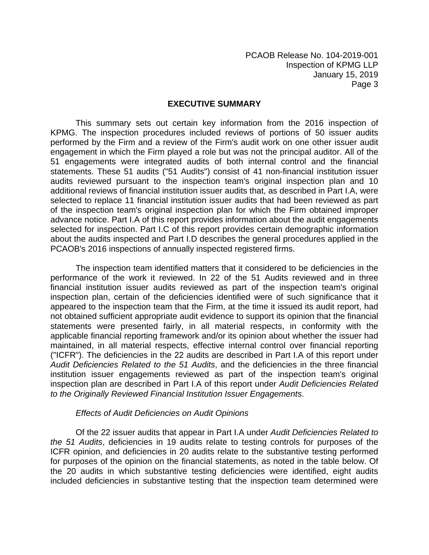#### **EXECUTIVE SUMMARY**

This summary sets out certain key information from the 2016 inspection of KPMG. The inspection procedures included reviews of portions of 50 issuer audits performed by the Firm and a review of the Firm's audit work on one other issuer audit engagement in which the Firm played a role but was not the principal auditor. All of the 51 engagements were integrated audits of both internal control and the financial statements. These 51 audits ("51 Audits") consist of 41 non-financial institution issuer audits reviewed pursuant to the inspection team's original inspection plan and 10 additional reviews of financial institution issuer audits that, as described in Part I.A, were selected to replace 11 financial institution issuer audits that had been reviewed as part of the inspection team's original inspection plan for which the Firm obtained improper advance notice. Part I.A of this report provides information about the audit engagements selected for inspection. Part I.C of this report provides certain demographic information about the audits inspected and Part I.D describes the general procedures applied in the PCAOB's 2016 inspections of annually inspected registered firms.

The inspection team identified matters that it considered to be deficiencies in the performance of the work it reviewed. In 22 of the 51 Audits reviewed and in three financial institution issuer audits reviewed as part of the inspection team's original inspection plan, certain of the deficiencies identified were of such significance that it appeared to the inspection team that the Firm, at the time it issued its audit report, had not obtained sufficient appropriate audit evidence to support its opinion that the financial statements were presented fairly, in all material respects, in conformity with the applicable financial reporting framework and/or its opinion about whether the issuer had maintained, in all material respects, effective internal control over financial reporting ("ICFR"). The deficiencies in the 22 audits are described in Part I.A of this report under *Audit Deficiencies Related to the 51 Audits*, and the deficiencies in the three financial institution issuer engagements reviewed as part of the inspection team's original inspection plan are described in Part I.A of this report under *Audit Deficiencies Related to the Originally Reviewed Financial Institution Issuer Engagements*.

#### *Effects of Audit Deficiencies on Audit Opinions*

 Of the 22 issuer audits that appear in Part I.A under *Audit Deficiencies Related to the 51 Audits*, deficiencies in 19 audits relate to testing controls for purposes of the ICFR opinion, and deficiencies in 20 audits relate to the substantive testing performed for purposes of the opinion on the financial statements, as noted in the table below. Of the 20 audits in which substantive testing deficiencies were identified, eight audits included deficiencies in substantive testing that the inspection team determined were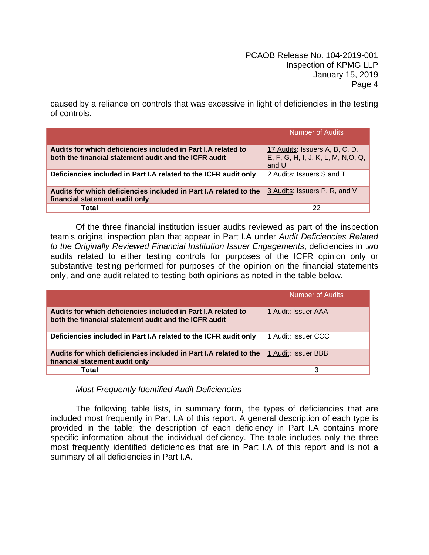caused by a reliance on controls that was excessive in light of deficiencies in the testing of controls.

|                                                                                                                                   | Number of Audits                                                               |
|-----------------------------------------------------------------------------------------------------------------------------------|--------------------------------------------------------------------------------|
| Audits for which deficiencies included in Part I.A related to<br>both the financial statement audit and the ICFR audit            | 17 Audits: Issuers A, B, C, D,<br>E, F, G, H, I, J, K, L, M, N, O, Q,<br>and U |
| Deficiencies included in Part I.A related to the ICFR audit only                                                                  | 2 Audits: Issuers S and T                                                      |
| Audits for which deficiencies included in Part I.A related to the 3 Audits: Issuers P, R, and V<br>financial statement audit only |                                                                                |
| Total                                                                                                                             | 22                                                                             |

Of the three financial institution issuer audits reviewed as part of the inspection team's original inspection plan that appear in Part I.A under *Audit Deficiencies Related to the Originally Reviewed Financial Institution Issuer Engagements*, deficiencies in two audits related to either testing controls for purposes of the ICFR opinion only or substantive testing performed for purposes of the opinion on the financial statements only, and one audit related to testing both opinions as noted in the table below.

|                                                                                                                         | <b>Number of Audits</b> |
|-------------------------------------------------------------------------------------------------------------------------|-------------------------|
| Audits for which deficiencies included in Part I.A related to<br>both the financial statement audit and the ICFR audit  | 1 Audit: Issuer AAA     |
| Deficiencies included in Part I.A related to the ICFR audit only                                                        | 1 Audit: Issuer CCC     |
| Audits for which deficiencies included in Part I.A related to the 1 Audit: Issuer BBB<br>financial statement audit only |                         |
| Total                                                                                                                   | 3                       |

# *Most Frequently Identified Audit Deficiencies*

The following table lists, in summary form, the types of deficiencies that are included most frequently in Part I.A of this report. A general description of each type is provided in the table; the description of each deficiency in Part I.A contains more specific information about the individual deficiency. The table includes only the three most frequently identified deficiencies that are in Part I.A of this report and is not a summary of all deficiencies in Part I.A.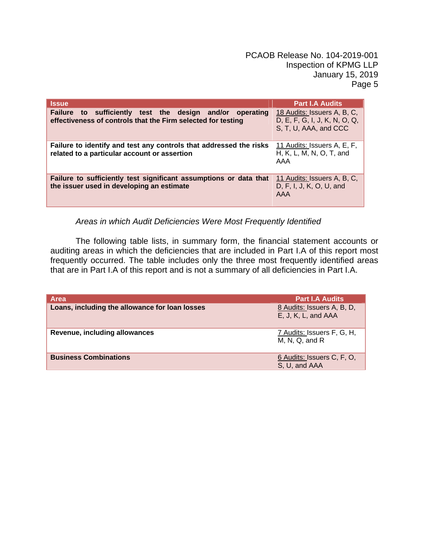| <b>Issue</b>                                                                                                                | <b>Part I.A Audits</b>                                                                |
|-----------------------------------------------------------------------------------------------------------------------------|---------------------------------------------------------------------------------------|
| Failure to sufficiently test the design and/or<br>operating<br>effectiveness of controls that the Firm selected for testing | 18 Audits: Issuers A, B, C,<br>D, E, F, G, I, J, K, N, O, Q,<br>S, T, U, AAA, and CCC |
| Failure to identify and test any controls that addressed the risks<br>related to a particular account or assertion          | 11 Audits: Issuers A, E, F,<br>H, K, L, M, N, O, T, and<br>AAA                        |
| Failure to sufficiently test significant assumptions or data that<br>the issuer used in developing an estimate              | 11 Audits: Issuers A, B, C,<br>D, F, I, J, K, O, U, and<br>AAA                        |

*Areas in which Audit Deficiencies Were Most Frequently Identified* 

The following table lists, in summary form, the financial statement accounts or auditing areas in which the deficiencies that are included in Part I.A of this report most frequently occurred. The table includes only the three most frequently identified areas that are in Part I.A of this report and is not a summary of all deficiencies in Part I.A.

| <b>Part I.A Audits</b>                            |
|---------------------------------------------------|
| 8 Audits: Issuers A, B, D,<br>E, J, K, L, and AAA |
| 7 Audits: Issuers F, G, H,<br>$M, N, Q,$ and $R$  |
| 6 Audits: Issuers C, F, O,<br>S, U, and AAA       |
|                                                   |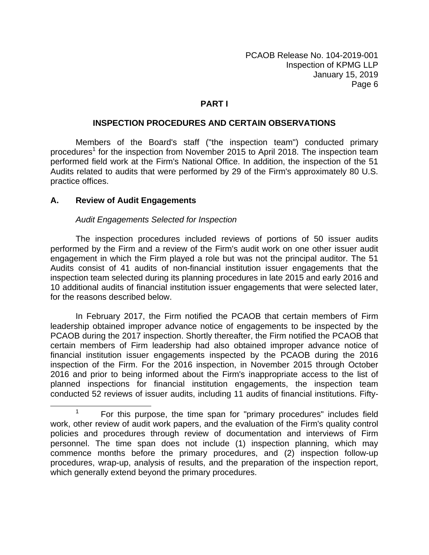#### **PART I**

#### **INSPECTION PROCEDURES AND CERTAIN OBSERVATIONS**

Members of the Board's staff ("the inspection team") conducted primary procedures<sup>1</sup> for the inspection from November 2015 to April 2018. The inspection team performed field work at the Firm's National Office. In addition, the inspection of the 51 Audits related to audits that were performed by 29 of the Firm's approximately 80 U.S. practice offices.

#### **A. Review of Audit Engagements**

#### *Audit Engagements Selected for Inspection*

The inspection procedures included reviews of portions of 50 issuer audits performed by the Firm and a review of the Firm's audit work on one other issuer audit engagement in which the Firm played a role but was not the principal auditor. The 51 Audits consist of 41 audits of non-financial institution issuer engagements that the inspection team selected during its planning procedures in late 2015 and early 2016 and 10 additional audits of financial institution issuer engagements that were selected later, for the reasons described below.

In February 2017, the Firm notified the PCAOB that certain members of Firm leadership obtained improper advance notice of engagements to be inspected by the PCAOB during the 2017 inspection. Shortly thereafter, the Firm notified the PCAOB that certain members of Firm leadership had also obtained improper advance notice of financial institution issuer engagements inspected by the PCAOB during the 2016 inspection of the Firm. For the 2016 inspection, in November 2015 through October 2016 and prior to being informed about the Firm's inappropriate access to the list of planned inspections for financial institution engagements, the inspection team conducted 52 reviews of issuer audits, including 11 audits of financial institutions. Fifty-

<sup>&</sup>lt;sup>1</sup> For this purpose, the time span for "primary procedures" includes field work, other review of audit work papers, and the evaluation of the Firm's quality control policies and procedures through review of documentation and interviews of Firm personnel. The time span does not include (1) inspection planning, which may commence months before the primary procedures, and (2) inspection follow-up procedures, wrap-up, analysis of results, and the preparation of the inspection report, which generally extend beyond the primary procedures.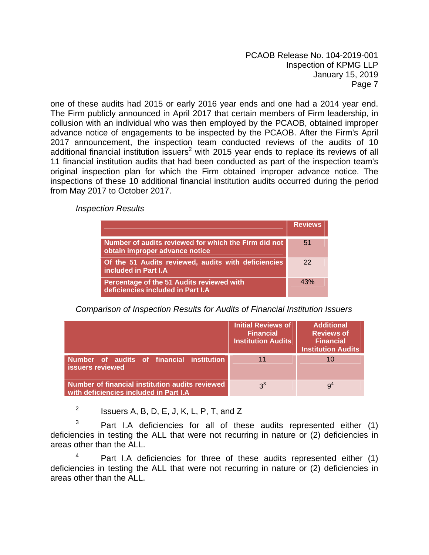one of these audits had 2015 or early 2016 year ends and one had a 2014 year end. The Firm publicly announced in April 2017 that certain members of Firm leadership, in collusion with an individual who was then employed by the PCAOB, obtained improper advance notice of engagements to be inspected by the PCAOB. After the Firm's April 2017 announcement, the inspection team conducted reviews of the audits of 10 additional financial institution issuers<sup>2</sup> with 2015 year ends to replace its reviews of all 11 financial institution audits that had been conducted as part of the inspection team's original inspection plan for which the Firm obtained improper advance notice. The inspections of these 10 additional financial institution audits occurred during the period from May 2017 to October 2017.

*Inspection Results* 

|                                                                                        | <b>Reviews</b> |
|----------------------------------------------------------------------------------------|----------------|
| Number of audits reviewed for which the Firm did not<br>obtain improper advance notice | 51             |
| Of the 51 Audits reviewed, audits with deficiencies<br>included in Part I.A            | 22             |
| Percentage of the 51 Audits reviewed with<br>deficiencies included in Part I.A         | 43%            |

*Comparison of Inspection Results for Audits of Financial Institution Issuers* 

|                                                                                            | Initial Reviews of<br><b>Financial</b><br><b>Institution Audits</b> | <b>Additional</b><br><b>Reviews of</b><br><b>Financial</b><br><b>Institution Audits</b> |
|--------------------------------------------------------------------------------------------|---------------------------------------------------------------------|-----------------------------------------------------------------------------------------|
| Number of audits of financial institution<br>issuers reviewed                              |                                                                     | 10                                                                                      |
| Number of financial institution audits reviewed<br>with deficiencies included in Part I.A. | $3^3$                                                               | 9 <sup>4</sup>                                                                          |

<sup>2</sup> Issuers A, B, D, E, J, K, L, P, T, and Z

3 Part I.A deficiencies for all of these audits represented either (1) deficiencies in testing the ALL that were not recurring in nature or (2) deficiencies in areas other than the ALL.

4 Part I.A deficiencies for three of these audits represented either (1) deficiencies in testing the ALL that were not recurring in nature or (2) deficiencies in areas other than the ALL.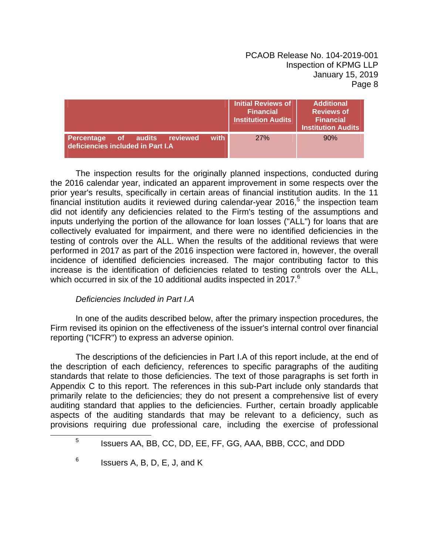|                                                                               | Initial Reviews of<br><b>Financial</b><br><b>Institution Audits</b> | <b>Additional</b><br><b>Reviews of</b><br><b>Financial</b><br><b>Institution Audits</b> |
|-------------------------------------------------------------------------------|---------------------------------------------------------------------|-----------------------------------------------------------------------------------------|
| with<br>of audits reviewed<br>Percentage<br>deficiencies included in Part I.A | <b>27%</b>                                                          | 90%                                                                                     |

The inspection results for the originally planned inspections, conducted during the 2016 calendar year, indicated an apparent improvement in some respects over the prior year's results, specifically in certain areas of financial institution audits. In the 11  $\dot{f}$ inancial institution audits it reviewed during calendar-year 2016,<sup>5</sup> the inspection team did not identify any deficiencies related to the Firm's testing of the assumptions and inputs underlying the portion of the allowance for loan losses ("ALL") for loans that are collectively evaluated for impairment, and there were no identified deficiencies in the testing of controls over the ALL. When the results of the additional reviews that were performed in 2017 as part of the 2016 inspection were factored in, however, the overall incidence of identified deficiencies increased. The major contributing factor to this increase is the identification of deficiencies related to testing controls over the ALL, which occurred in six of the 10 additional audits inspected in 2017.<sup>6</sup>

# *Deficiencies Included in Part I.A*

In one of the audits described below, after the primary inspection procedures, the Firm revised its opinion on the effectiveness of the issuer's internal control over financial reporting ("ICFR") to express an adverse opinion.

The descriptions of the deficiencies in Part I.A of this report include, at the end of the description of each deficiency, references to specific paragraphs of the auditing standards that relate to those deficiencies. The text of those paragraphs is set forth in Appendix C to this report. The references in this sub-Part include only standards that primarily relate to the deficiencies; they do not present a comprehensive list of every auditing standard that applies to the deficiencies. Further, certain broadly applicable aspects of the auditing standards that may be relevant to a deficiency, such as provisions requiring due professional care, including the exercise of professional

 $\frac{1}{5}$ <sup>5</sup> Issuers AA, BB, CC, DD, EE, FF, GG, AAA, BBB, CCC, and DDD

 $6$  Issuers A, B, D, E, J, and K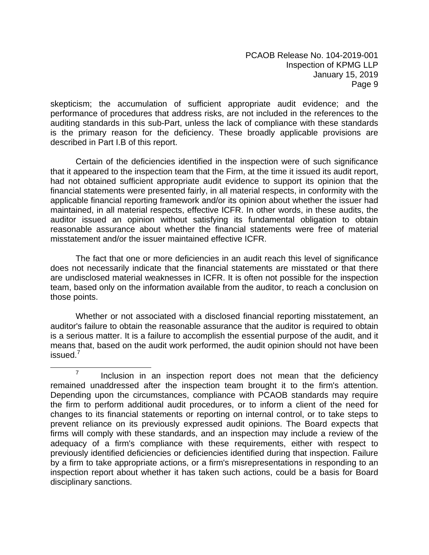skepticism; the accumulation of sufficient appropriate audit evidence; and the performance of procedures that address risks, are not included in the references to the auditing standards in this sub-Part, unless the lack of compliance with these standards is the primary reason for the deficiency. These broadly applicable provisions are described in Part I.B of this report.

Certain of the deficiencies identified in the inspection were of such significance that it appeared to the inspection team that the Firm, at the time it issued its audit report, had not obtained sufficient appropriate audit evidence to support its opinion that the financial statements were presented fairly, in all material respects, in conformity with the applicable financial reporting framework and/or its opinion about whether the issuer had maintained, in all material respects, effective ICFR. In other words, in these audits, the auditor issued an opinion without satisfying its fundamental obligation to obtain reasonable assurance about whether the financial statements were free of material misstatement and/or the issuer maintained effective ICFR.

The fact that one or more deficiencies in an audit reach this level of significance does not necessarily indicate that the financial statements are misstated or that there are undisclosed material weaknesses in ICFR. It is often not possible for the inspection team, based only on the information available from the auditor, to reach a conclusion on those points.

Whether or not associated with a disclosed financial reporting misstatement, an auditor's failure to obtain the reasonable assurance that the auditor is required to obtain is a serious matter. It is a failure to accomplish the essential purpose of the audit, and it means that, based on the audit work performed, the audit opinion should not have been issued. $^7$ 

 $\overline{7}$  $\frac{7}{10}$  Inclusion in an inspection report does not mean that the deficiency remained unaddressed after the inspection team brought it to the firm's attention. Depending upon the circumstances, compliance with PCAOB standards may require the firm to perform additional audit procedures, or to inform a client of the need for changes to its financial statements or reporting on internal control, or to take steps to prevent reliance on its previously expressed audit opinions. The Board expects that firms will comply with these standards, and an inspection may include a review of the adequacy of a firm's compliance with these requirements, either with respect to previously identified deficiencies or deficiencies identified during that inspection. Failure by a firm to take appropriate actions, or a firm's misrepresentations in responding to an inspection report about whether it has taken such actions, could be a basis for Board disciplinary sanctions.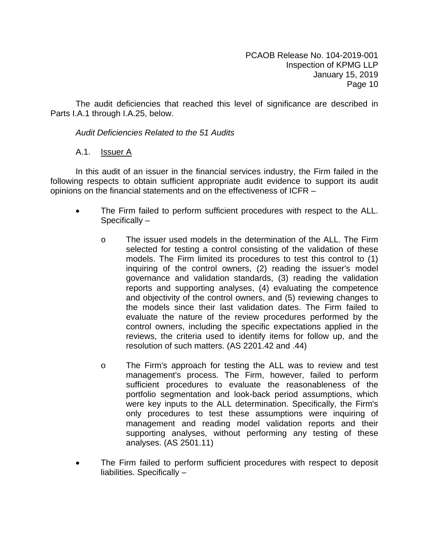The audit deficiencies that reached this level of significance are described in Parts I.A.1 through I.A.25, below.

# *Audit Deficiencies Related to the 51 Audits*

# A.1. **Issuer A**

In this audit of an issuer in the financial services industry, the Firm failed in the following respects to obtain sufficient appropriate audit evidence to support its audit opinions on the financial statements and on the effectiveness of ICFR –

- The Firm failed to perform sufficient procedures with respect to the ALL. Specifically –
	- o The issuer used models in the determination of the ALL. The Firm selected for testing a control consisting of the validation of these models. The Firm limited its procedures to test this control to (1) inquiring of the control owners, (2) reading the issuer's model governance and validation standards, (3) reading the validation reports and supporting analyses, (4) evaluating the competence and objectivity of the control owners, and (5) reviewing changes to the models since their last validation dates. The Firm failed to evaluate the nature of the review procedures performed by the control owners, including the specific expectations applied in the reviews, the criteria used to identify items for follow up, and the resolution of such matters. (AS 2201.42 and .44)
	- o The Firm's approach for testing the ALL was to review and test management's process. The Firm, however, failed to perform sufficient procedures to evaluate the reasonableness of the portfolio segmentation and look-back period assumptions, which were key inputs to the ALL determination. Specifically, the Firm's only procedures to test these assumptions were inquiring of management and reading model validation reports and their supporting analyses, without performing any testing of these analyses. (AS 2501.11)
- The Firm failed to perform sufficient procedures with respect to deposit liabilities. Specifically –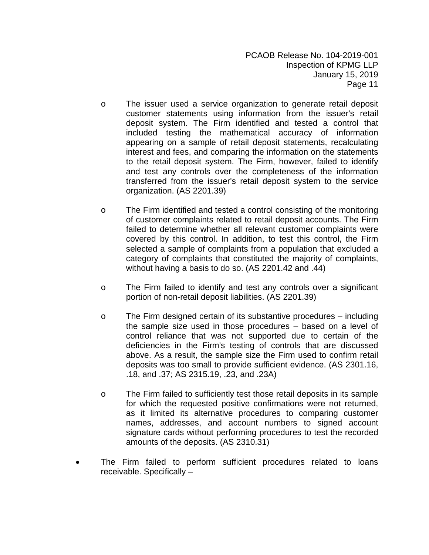- o The issuer used a service organization to generate retail deposit customer statements using information from the issuer's retail deposit system. The Firm identified and tested a control that included testing the mathematical accuracy of information appearing on a sample of retail deposit statements, recalculating interest and fees, and comparing the information on the statements to the retail deposit system. The Firm, however, failed to identify and test any controls over the completeness of the information transferred from the issuer's retail deposit system to the service organization. (AS 2201.39)
- o The Firm identified and tested a control consisting of the monitoring of customer complaints related to retail deposit accounts. The Firm failed to determine whether all relevant customer complaints were covered by this control. In addition, to test this control, the Firm selected a sample of complaints from a population that excluded a category of complaints that constituted the majority of complaints, without having a basis to do so. (AS 2201.42 and .44)
- o The Firm failed to identify and test any controls over a significant portion of non-retail deposit liabilities. (AS 2201.39)
- o The Firm designed certain of its substantive procedures including the sample size used in those procedures – based on a level of control reliance that was not supported due to certain of the deficiencies in the Firm's testing of controls that are discussed above. As a result, the sample size the Firm used to confirm retail deposits was too small to provide sufficient evidence. (AS 2301.16, .18, and .37; AS 2315.19, .23, and .23A)
- o The Firm failed to sufficiently test those retail deposits in its sample for which the requested positive confirmations were not returned, as it limited its alternative procedures to comparing customer names, addresses, and account numbers to signed account signature cards without performing procedures to test the recorded amounts of the deposits. (AS 2310.31)
- The Firm failed to perform sufficient procedures related to loans receivable. Specifically –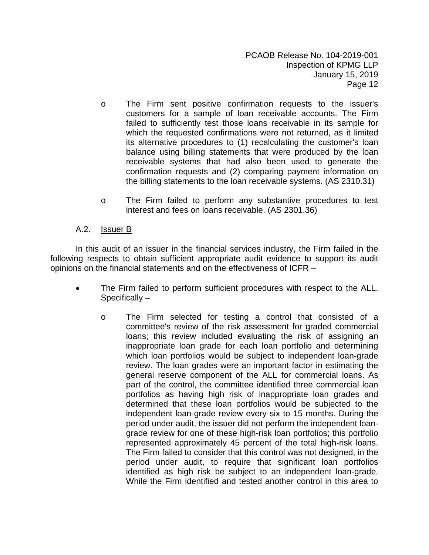- o The Firm sent positive confirmation requests to the issuer's customers for a sample of loan receivable accounts. The Firm failed to sufficiently test those loans receivable in its sample for which the requested confirmations were not returned, as it limited its alternative procedures to (1) recalculating the customer's loan balance using billing statements that were produced by the loan receivable systems that had also been used to generate the confirmation requests and (2) comparing payment information on the billing statements to the loan receivable systems. (AS 2310.31)
- o The Firm failed to perform any substantive procedures to test interest and fees on loans receivable. (AS 2301.36)

# A.2. Issuer B

In this audit of an issuer in the financial services industry, the Firm failed in the following respects to obtain sufficient appropriate audit evidence to support its audit opinions on the financial statements and on the effectiveness of ICFR –

- The Firm failed to perform sufficient procedures with respect to the ALL. Specifically –
	- o The Firm selected for testing a control that consisted of a committee's review of the risk assessment for graded commercial loans; this review included evaluating the risk of assigning an inappropriate loan grade for each loan portfolio and determining which loan portfolios would be subject to independent loan-grade review. The loan grades were an important factor in estimating the general reserve component of the ALL for commercial loans. As part of the control, the committee identified three commercial loan portfolios as having high risk of inappropriate loan grades and determined that these loan portfolios would be subjected to the independent loan-grade review every six to 15 months. During the period under audit, the issuer did not perform the independent loangrade review for one of these high-risk loan portfolios; this portfolio represented approximately 45 percent of the total high-risk loans. The Firm failed to consider that this control was not designed, in the period under audit, to require that significant loan portfolios identified as high risk be subject to an independent loan-grade. While the Firm identified and tested another control in this area to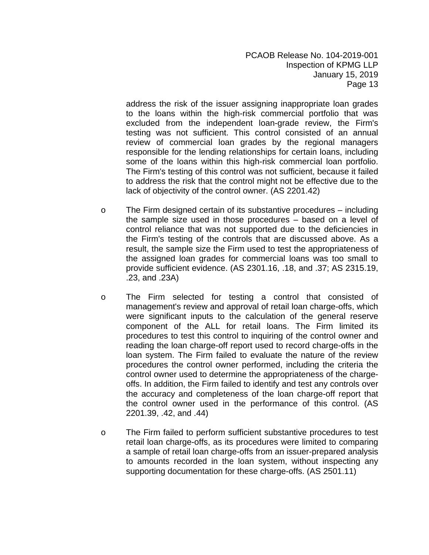address the risk of the issuer assigning inappropriate loan grades to the loans within the high-risk commercial portfolio that was excluded from the independent loan-grade review, the Firm's testing was not sufficient. This control consisted of an annual review of commercial loan grades by the regional managers responsible for the lending relationships for certain loans, including some of the loans within this high-risk commercial loan portfolio. The Firm's testing of this control was not sufficient, because it failed to address the risk that the control might not be effective due to the lack of objectivity of the control owner. (AS 2201.42)

- o The Firm designed certain of its substantive procedures including the sample size used in those procedures – based on a level of control reliance that was not supported due to the deficiencies in the Firm's testing of the controls that are discussed above. As a result, the sample size the Firm used to test the appropriateness of the assigned loan grades for commercial loans was too small to provide sufficient evidence. (AS 2301.16, .18, and .37; AS 2315.19, .23, and .23A)
- o The Firm selected for testing a control that consisted of management's review and approval of retail loan charge-offs, which were significant inputs to the calculation of the general reserve component of the ALL for retail loans. The Firm limited its procedures to test this control to inquiring of the control owner and reading the loan charge-off report used to record charge-offs in the loan system. The Firm failed to evaluate the nature of the review procedures the control owner performed, including the criteria the control owner used to determine the appropriateness of the chargeoffs. In addition, the Firm failed to identify and test any controls over the accuracy and completeness of the loan charge-off report that the control owner used in the performance of this control. (AS 2201.39, .42, and .44)
- o The Firm failed to perform sufficient substantive procedures to test retail loan charge-offs, as its procedures were limited to comparing a sample of retail loan charge-offs from an issuer-prepared analysis to amounts recorded in the loan system, without inspecting any supporting documentation for these charge-offs. (AS 2501.11)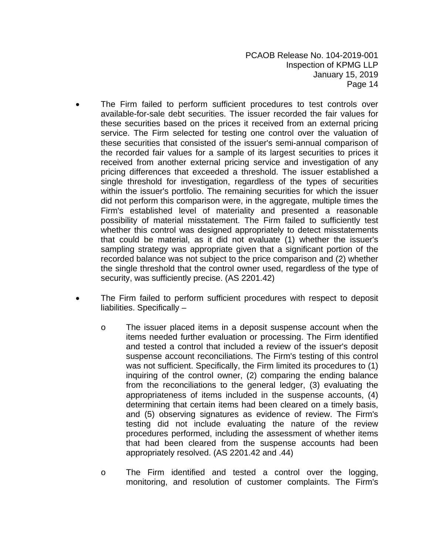- The Firm failed to perform sufficient procedures to test controls over available-for-sale debt securities. The issuer recorded the fair values for these securities based on the prices it received from an external pricing service. The Firm selected for testing one control over the valuation of these securities that consisted of the issuer's semi-annual comparison of the recorded fair values for a sample of its largest securities to prices it received from another external pricing service and investigation of any pricing differences that exceeded a threshold. The issuer established a single threshold for investigation, regardless of the types of securities within the issuer's portfolio. The remaining securities for which the issuer did not perform this comparison were, in the aggregate, multiple times the Firm's established level of materiality and presented a reasonable possibility of material misstatement. The Firm failed to sufficiently test whether this control was designed appropriately to detect misstatements that could be material, as it did not evaluate (1) whether the issuer's sampling strategy was appropriate given that a significant portion of the recorded balance was not subject to the price comparison and (2) whether the single threshold that the control owner used, regardless of the type of security, was sufficiently precise. (AS 2201.42)
- The Firm failed to perform sufficient procedures with respect to deposit liabilities. Specifically –
	- o The issuer placed items in a deposit suspense account when the items needed further evaluation or processing. The Firm identified and tested a control that included a review of the issuer's deposit suspense account reconciliations. The Firm's testing of this control was not sufficient. Specifically, the Firm limited its procedures to (1) inquiring of the control owner, (2) comparing the ending balance from the reconciliations to the general ledger, (3) evaluating the appropriateness of items included in the suspense accounts, (4) determining that certain items had been cleared on a timely basis, and (5) observing signatures as evidence of review. The Firm's testing did not include evaluating the nature of the review procedures performed, including the assessment of whether items that had been cleared from the suspense accounts had been appropriately resolved. (AS 2201.42 and .44)
	- o The Firm identified and tested a control over the logging, monitoring, and resolution of customer complaints. The Firm's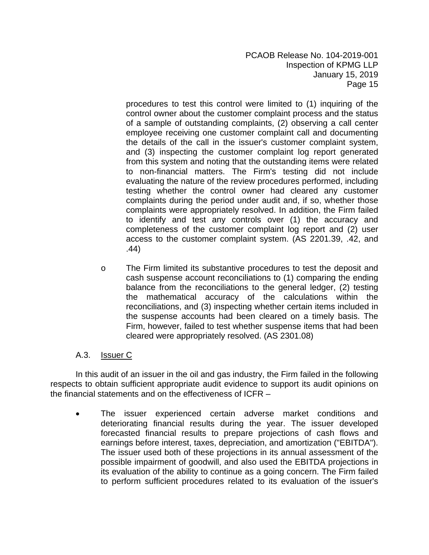procedures to test this control were limited to (1) inquiring of the control owner about the customer complaint process and the status of a sample of outstanding complaints, (2) observing a call center employee receiving one customer complaint call and documenting the details of the call in the issuer's customer complaint system, and (3) inspecting the customer complaint log report generated from this system and noting that the outstanding items were related to non-financial matters. The Firm's testing did not include evaluating the nature of the review procedures performed, including testing whether the control owner had cleared any customer complaints during the period under audit and, if so, whether those complaints were appropriately resolved. In addition, the Firm failed to identify and test any controls over (1) the accuracy and completeness of the customer complaint log report and (2) user access to the customer complaint system. (AS 2201.39, .42, and .44)

o The Firm limited its substantive procedures to test the deposit and cash suspense account reconciliations to (1) comparing the ending balance from the reconciliations to the general ledger, (2) testing the mathematical accuracy of the calculations within the reconciliations, and (3) inspecting whether certain items included in the suspense accounts had been cleared on a timely basis. The Firm, however, failed to test whether suspense items that had been cleared were appropriately resolved. (AS 2301.08)

# A.3. Issuer C

In this audit of an issuer in the oil and gas industry, the Firm failed in the following respects to obtain sufficient appropriate audit evidence to support its audit opinions on the financial statements and on the effectiveness of ICFR –

 The issuer experienced certain adverse market conditions and deteriorating financial results during the year. The issuer developed forecasted financial results to prepare projections of cash flows and earnings before interest, taxes, depreciation, and amortization ("EBITDA"). The issuer used both of these projections in its annual assessment of the possible impairment of goodwill, and also used the EBITDA projections in its evaluation of the ability to continue as a going concern. The Firm failed to perform sufficient procedures related to its evaluation of the issuer's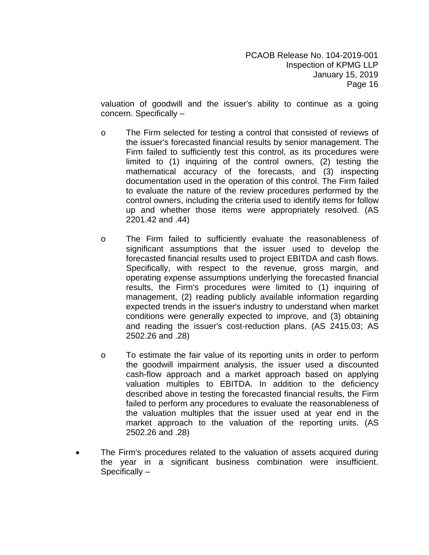valuation of goodwill and the issuer's ability to continue as a going concern. Specifically –

- o The Firm selected for testing a control that consisted of reviews of the issuer's forecasted financial results by senior management. The Firm failed to sufficiently test this control, as its procedures were limited to (1) inquiring of the control owners, (2) testing the mathematical accuracy of the forecasts, and (3) inspecting documentation used in the operation of this control. The Firm failed to evaluate the nature of the review procedures performed by the control owners, including the criteria used to identify items for follow up and whether those items were appropriately resolved. (AS 2201.42 and .44)
- o The Firm failed to sufficiently evaluate the reasonableness of significant assumptions that the issuer used to develop the forecasted financial results used to project EBITDA and cash flows. Specifically, with respect to the revenue, gross margin, and operating expense assumptions underlying the forecasted financial results, the Firm's procedures were limited to (1) inquiring of management, (2) reading publicly available information regarding expected trends in the issuer's industry to understand when market conditions were generally expected to improve, and (3) obtaining and reading the issuer's cost-reduction plans. (AS 2415.03; AS 2502.26 and .28)
- o To estimate the fair value of its reporting units in order to perform the goodwill impairment analysis, the issuer used a discounted cash-flow approach and a market approach based on applying valuation multiples to EBITDA. In addition to the deficiency described above in testing the forecasted financial results, the Firm failed to perform any procedures to evaluate the reasonableness of the valuation multiples that the issuer used at year end in the market approach to the valuation of the reporting units. (AS 2502.26 and .28)
- The Firm's procedures related to the valuation of assets acquired during the year in a significant business combination were insufficient. Specifically –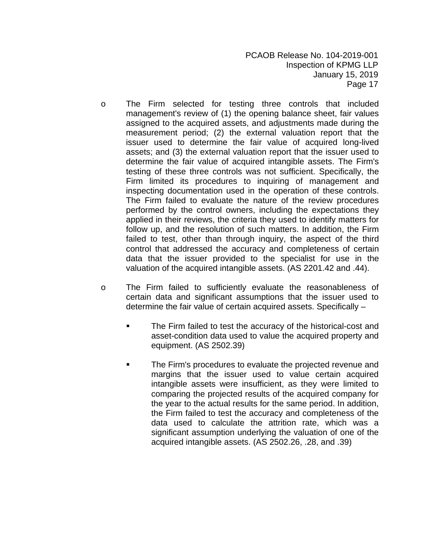- o The Firm selected for testing three controls that included management's review of (1) the opening balance sheet, fair values assigned to the acquired assets, and adjustments made during the measurement period; (2) the external valuation report that the issuer used to determine the fair value of acquired long-lived assets; and (3) the external valuation report that the issuer used to determine the fair value of acquired intangible assets. The Firm's testing of these three controls was not sufficient. Specifically, the Firm limited its procedures to inquiring of management and inspecting documentation used in the operation of these controls. The Firm failed to evaluate the nature of the review procedures performed by the control owners, including the expectations they applied in their reviews, the criteria they used to identify matters for follow up, and the resolution of such matters. In addition, the Firm failed to test, other than through inquiry, the aspect of the third control that addressed the accuracy and completeness of certain data that the issuer provided to the specialist for use in the valuation of the acquired intangible assets. (AS 2201.42 and .44).
- o The Firm failed to sufficiently evaluate the reasonableness of certain data and significant assumptions that the issuer used to determine the fair value of certain acquired assets. Specifically –
	- The Firm failed to test the accuracy of the historical-cost and asset-condition data used to value the acquired property and equipment. (AS 2502.39)
	- The Firm's procedures to evaluate the projected revenue and margins that the issuer used to value certain acquired intangible assets were insufficient, as they were limited to comparing the projected results of the acquired company for the year to the actual results for the same period. In addition, the Firm failed to test the accuracy and completeness of the data used to calculate the attrition rate, which was a significant assumption underlying the valuation of one of the acquired intangible assets. (AS 2502.26, .28, and .39)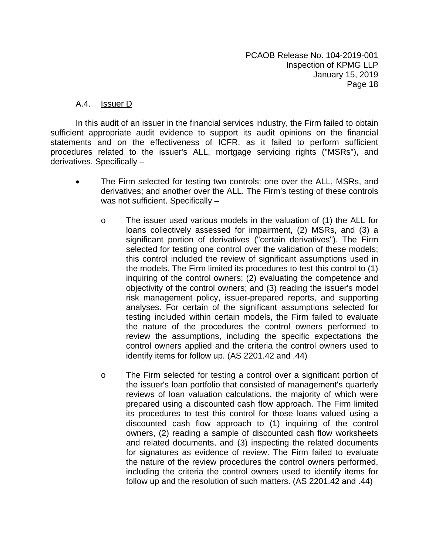#### A.4. **Issuer D**

In this audit of an issuer in the financial services industry, the Firm failed to obtain sufficient appropriate audit evidence to support its audit opinions on the financial statements and on the effectiveness of ICFR, as it failed to perform sufficient procedures related to the issuer's ALL, mortgage servicing rights ("MSRs"), and derivatives. Specifically –

- The Firm selected for testing two controls: one over the ALL, MSRs, and derivatives; and another over the ALL. The Firm's testing of these controls was not sufficient. Specifically
	- o The issuer used various models in the valuation of (1) the ALL for loans collectively assessed for impairment, (2) MSRs, and (3) a significant portion of derivatives ("certain derivatives"). The Firm selected for testing one control over the validation of these models; this control included the review of significant assumptions used in the models. The Firm limited its procedures to test this control to (1) inquiring of the control owners; (2) evaluating the competence and objectivity of the control owners; and (3) reading the issuer's model risk management policy, issuer-prepared reports, and supporting analyses. For certain of the significant assumptions selected for testing included within certain models, the Firm failed to evaluate the nature of the procedures the control owners performed to review the assumptions, including the specific expectations the control owners applied and the criteria the control owners used to identify items for follow up. (AS 2201.42 and .44)
	- o The Firm selected for testing a control over a significant portion of the issuer's loan portfolio that consisted of management's quarterly reviews of loan valuation calculations, the majority of which were prepared using a discounted cash flow approach. The Firm limited its procedures to test this control for those loans valued using a discounted cash flow approach to (1) inquiring of the control owners, (2) reading a sample of discounted cash flow worksheets and related documents, and (3) inspecting the related documents for signatures as evidence of review. The Firm failed to evaluate the nature of the review procedures the control owners performed, including the criteria the control owners used to identify items for follow up and the resolution of such matters. (AS 2201.42 and .44)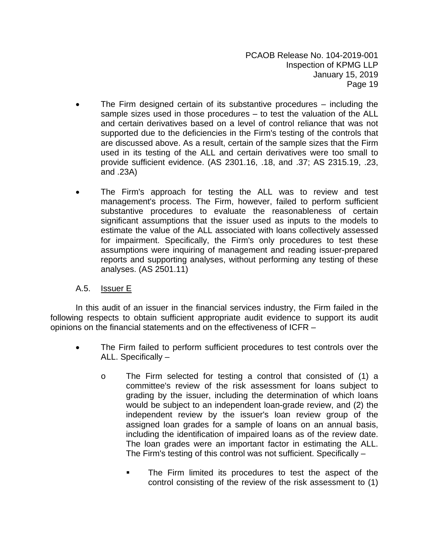- The Firm designed certain of its substantive procedures including the sample sizes used in those procedures – to test the valuation of the ALL and certain derivatives based on a level of control reliance that was not supported due to the deficiencies in the Firm's testing of the controls that are discussed above. As a result, certain of the sample sizes that the Firm used in its testing of the ALL and certain derivatives were too small to provide sufficient evidence. (AS 2301.16, .18, and .37; AS 2315.19, .23, and .23A)
- The Firm's approach for testing the ALL was to review and test management's process. The Firm, however, failed to perform sufficient substantive procedures to evaluate the reasonableness of certain significant assumptions that the issuer used as inputs to the models to estimate the value of the ALL associated with loans collectively assessed for impairment. Specifically, the Firm's only procedures to test these assumptions were inquiring of management and reading issuer-prepared reports and supporting analyses, without performing any testing of these analyses. (AS 2501.11)

# A.5. Issuer E

In this audit of an issuer in the financial services industry, the Firm failed in the following respects to obtain sufficient appropriate audit evidence to support its audit opinions on the financial statements and on the effectiveness of ICFR –

- The Firm failed to perform sufficient procedures to test controls over the ALL. Specifically –
	- o The Firm selected for testing a control that consisted of (1) a committee's review of the risk assessment for loans subject to grading by the issuer, including the determination of which loans would be subject to an independent loan-grade review, and (2) the independent review by the issuer's loan review group of the assigned loan grades for a sample of loans on an annual basis, including the identification of impaired loans as of the review date. The loan grades were an important factor in estimating the ALL. The Firm's testing of this control was not sufficient. Specifically –
		- The Firm limited its procedures to test the aspect of the control consisting of the review of the risk assessment to (1)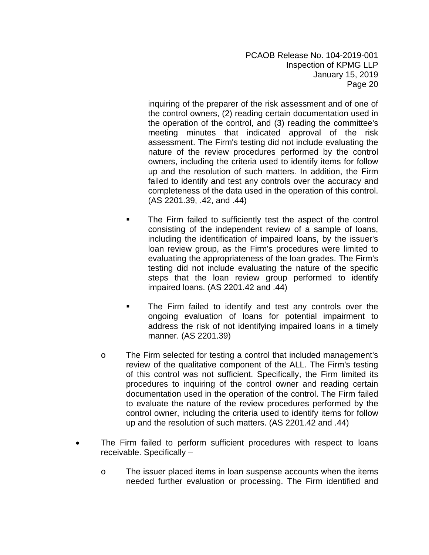inquiring of the preparer of the risk assessment and of one of the control owners, (2) reading certain documentation used in the operation of the control, and (3) reading the committee's meeting minutes that indicated approval of the risk assessment. The Firm's testing did not include evaluating the nature of the review procedures performed by the control owners, including the criteria used to identify items for follow up and the resolution of such matters. In addition, the Firm failed to identify and test any controls over the accuracy and completeness of the data used in the operation of this control. (AS 2201.39, .42, and .44)

- **The Firm failed to sufficiently test the aspect of the control** consisting of the independent review of a sample of loans, including the identification of impaired loans, by the issuer's loan review group, as the Firm's procedures were limited to evaluating the appropriateness of the loan grades. The Firm's testing did not include evaluating the nature of the specific steps that the loan review group performed to identify impaired loans. (AS 2201.42 and .44)
- The Firm failed to identify and test any controls over the ongoing evaluation of loans for potential impairment to address the risk of not identifying impaired loans in a timely manner. (AS 2201.39)
- o The Firm selected for testing a control that included management's review of the qualitative component of the ALL. The Firm's testing of this control was not sufficient. Specifically, the Firm limited its procedures to inquiring of the control owner and reading certain documentation used in the operation of the control. The Firm failed to evaluate the nature of the review procedures performed by the control owner, including the criteria used to identify items for follow up and the resolution of such matters. (AS 2201.42 and .44)
- The Firm failed to perform sufficient procedures with respect to loans receivable. Specifically –
	- o The issuer placed items in loan suspense accounts when the items needed further evaluation or processing. The Firm identified and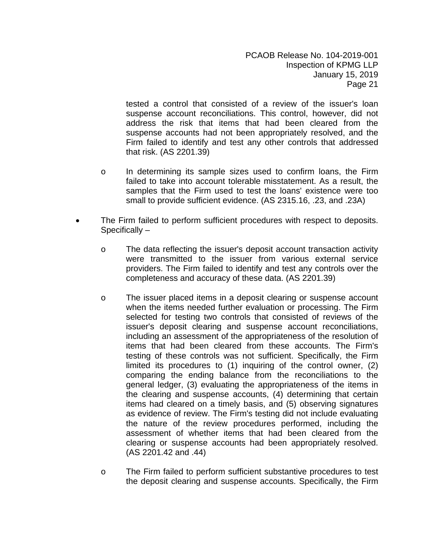tested a control that consisted of a review of the issuer's loan suspense account reconciliations. This control, however, did not address the risk that items that had been cleared from the suspense accounts had not been appropriately resolved, and the Firm failed to identify and test any other controls that addressed that risk. (AS 2201.39)

- o In determining its sample sizes used to confirm loans, the Firm failed to take into account tolerable misstatement. As a result, the samples that the Firm used to test the loans' existence were too small to provide sufficient evidence. (AS 2315.16, .23, and .23A)
- The Firm failed to perform sufficient procedures with respect to deposits. Specifically –
	- o The data reflecting the issuer's deposit account transaction activity were transmitted to the issuer from various external service providers. The Firm failed to identify and test any controls over the completeness and accuracy of these data. (AS 2201.39)
	- o The issuer placed items in a deposit clearing or suspense account when the items needed further evaluation or processing. The Firm selected for testing two controls that consisted of reviews of the issuer's deposit clearing and suspense account reconciliations, including an assessment of the appropriateness of the resolution of items that had been cleared from these accounts. The Firm's testing of these controls was not sufficient. Specifically, the Firm limited its procedures to (1) inquiring of the control owner, (2) comparing the ending balance from the reconciliations to the general ledger, (3) evaluating the appropriateness of the items in the clearing and suspense accounts, (4) determining that certain items had cleared on a timely basis, and (5) observing signatures as evidence of review. The Firm's testing did not include evaluating the nature of the review procedures performed, including the assessment of whether items that had been cleared from the clearing or suspense accounts had been appropriately resolved. (AS 2201.42 and .44)
	- o The Firm failed to perform sufficient substantive procedures to test the deposit clearing and suspense accounts. Specifically, the Firm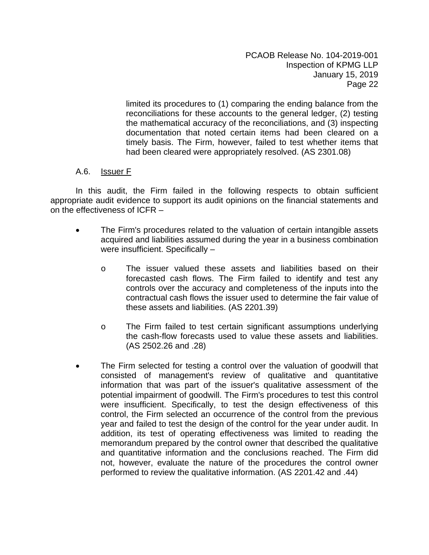limited its procedures to (1) comparing the ending balance from the reconciliations for these accounts to the general ledger, (2) testing the mathematical accuracy of the reconciliations, and (3) inspecting documentation that noted certain items had been cleared on a timely basis. The Firm, however, failed to test whether items that had been cleared were appropriately resolved. (AS 2301.08)

# A.6. Issuer F

- The Firm's procedures related to the valuation of certain intangible assets acquired and liabilities assumed during the year in a business combination were insufficient. Specifically –
	- o The issuer valued these assets and liabilities based on their forecasted cash flows. The Firm failed to identify and test any controls over the accuracy and completeness of the inputs into the contractual cash flows the issuer used to determine the fair value of these assets and liabilities. (AS 2201.39)
	- o The Firm failed to test certain significant assumptions underlying the cash-flow forecasts used to value these assets and liabilities. (AS 2502.26 and .28)
- The Firm selected for testing a control over the valuation of goodwill that consisted of management's review of qualitative and quantitative information that was part of the issuer's qualitative assessment of the potential impairment of goodwill. The Firm's procedures to test this control were insufficient. Specifically, to test the design effectiveness of this control, the Firm selected an occurrence of the control from the previous year and failed to test the design of the control for the year under audit. In addition, its test of operating effectiveness was limited to reading the memorandum prepared by the control owner that described the qualitative and quantitative information and the conclusions reached. The Firm did not, however, evaluate the nature of the procedures the control owner performed to review the qualitative information. (AS 2201.42 and .44)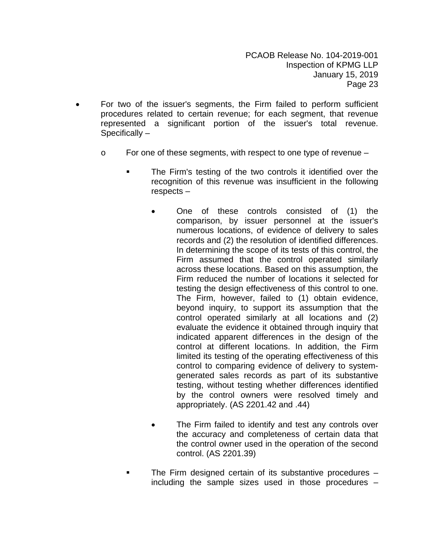- For two of the issuer's segments, the Firm failed to perform sufficient procedures related to certain revenue; for each segment, that revenue represented a significant portion of the issuer's total revenue. Specifically –
	- o For one of these segments, with respect to one type of revenue
		- The Firm's testing of the two controls it identified over the recognition of this revenue was insufficient in the following respects –
			- One of these controls consisted of (1) the comparison, by issuer personnel at the issuer's numerous locations, of evidence of delivery to sales records and (2) the resolution of identified differences. In determining the scope of its tests of this control, the Firm assumed that the control operated similarly across these locations. Based on this assumption, the Firm reduced the number of locations it selected for testing the design effectiveness of this control to one. The Firm, however, failed to (1) obtain evidence, beyond inquiry, to support its assumption that the control operated similarly at all locations and (2) evaluate the evidence it obtained through inquiry that indicated apparent differences in the design of the control at different locations. In addition, the Firm limited its testing of the operating effectiveness of this control to comparing evidence of delivery to systemgenerated sales records as part of its substantive testing, without testing whether differences identified by the control owners were resolved timely and appropriately. (AS 2201.42 and .44)
			- The Firm failed to identify and test any controls over the accuracy and completeness of certain data that the control owner used in the operation of the second control. (AS 2201.39)
		- The Firm designed certain of its substantive procedures including the sample sizes used in those procedures –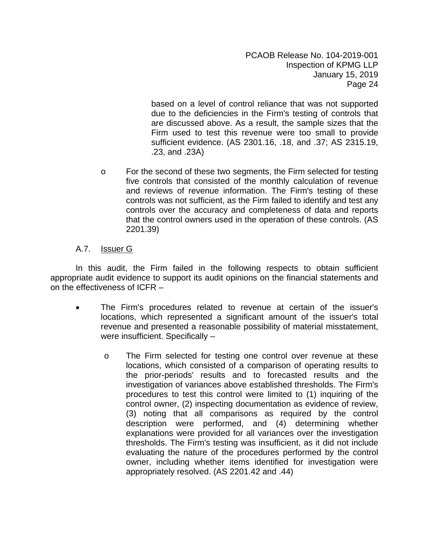based on a level of control reliance that was not supported due to the deficiencies in the Firm's testing of controls that are discussed above. As a result, the sample sizes that the Firm used to test this revenue were too small to provide sufficient evidence. (AS 2301.16, .18, and .37; AS 2315.19, .23, and .23A)

o For the second of these two segments, the Firm selected for testing five controls that consisted of the monthly calculation of revenue and reviews of revenue information. The Firm's testing of these controls was not sufficient, as the Firm failed to identify and test any controls over the accuracy and completeness of data and reports that the control owners used in the operation of these controls. (AS 2201.39)

# A.7. Issuer G

- The Firm's procedures related to revenue at certain of the issuer's locations, which represented a significant amount of the issuer's total revenue and presented a reasonable possibility of material misstatement, were insufficient. Specifically –
	- o The Firm selected for testing one control over revenue at these locations, which consisted of a comparison of operating results to the prior-periods' results and to forecasted results and the investigation of variances above established thresholds. The Firm's procedures to test this control were limited to (1) inquiring of the control owner, (2) inspecting documentation as evidence of review, (3) noting that all comparisons as required by the control description were performed, and (4) determining whether explanations were provided for all variances over the investigation thresholds. The Firm's testing was insufficient, as it did not include evaluating the nature of the procedures performed by the control owner, including whether items identified for investigation were appropriately resolved. (AS 2201.42 and .44)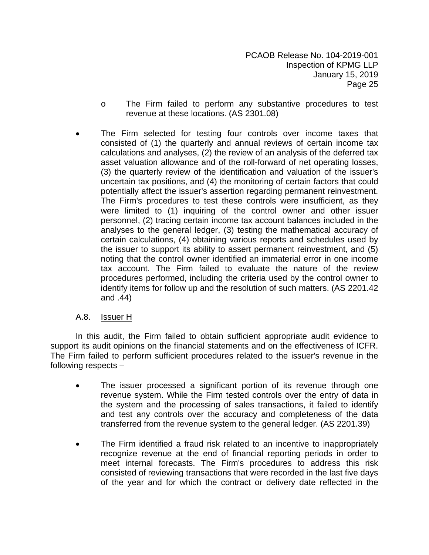- o The Firm failed to perform any substantive procedures to test revenue at these locations. (AS 2301.08)
- The Firm selected for testing four controls over income taxes that consisted of (1) the quarterly and annual reviews of certain income tax calculations and analyses, (2) the review of an analysis of the deferred tax asset valuation allowance and of the roll-forward of net operating losses, (3) the quarterly review of the identification and valuation of the issuer's uncertain tax positions, and (4) the monitoring of certain factors that could potentially affect the issuer's assertion regarding permanent reinvestment. The Firm's procedures to test these controls were insufficient, as they were limited to (1) inquiring of the control owner and other issuer personnel, (2) tracing certain income tax account balances included in the analyses to the general ledger, (3) testing the mathematical accuracy of certain calculations, (4) obtaining various reports and schedules used by the issuer to support its ability to assert permanent reinvestment, and (5) noting that the control owner identified an immaterial error in one income tax account. The Firm failed to evaluate the nature of the review procedures performed, including the criteria used by the control owner to identify items for follow up and the resolution of such matters. (AS 2201.42 and .44)

# A.8. Issuer H

In this audit, the Firm failed to obtain sufficient appropriate audit evidence to support its audit opinions on the financial statements and on the effectiveness of ICFR. The Firm failed to perform sufficient procedures related to the issuer's revenue in the following respects –

- The issuer processed a significant portion of its revenue through one revenue system. While the Firm tested controls over the entry of data in the system and the processing of sales transactions, it failed to identify and test any controls over the accuracy and completeness of the data transferred from the revenue system to the general ledger. (AS 2201.39)
- The Firm identified a fraud risk related to an incentive to inappropriately recognize revenue at the end of financial reporting periods in order to meet internal forecasts. The Firm's procedures to address this risk consisted of reviewing transactions that were recorded in the last five days of the year and for which the contract or delivery date reflected in the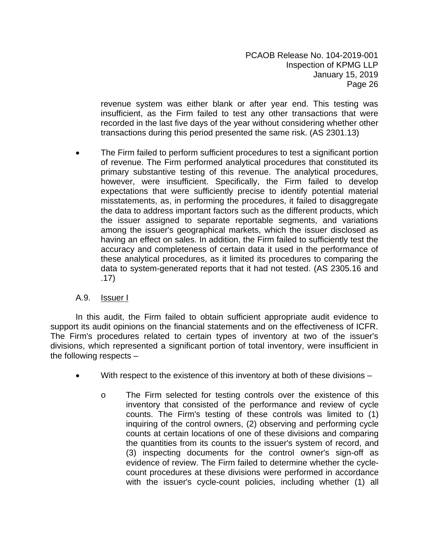revenue system was either blank or after year end. This testing was insufficient, as the Firm failed to test any other transactions that were recorded in the last five days of the year without considering whether other transactions during this period presented the same risk. (AS 2301.13)

 The Firm failed to perform sufficient procedures to test a significant portion of revenue. The Firm performed analytical procedures that constituted its primary substantive testing of this revenue. The analytical procedures, however, were insufficient. Specifically, the Firm failed to develop expectations that were sufficiently precise to identify potential material misstatements, as, in performing the procedures, it failed to disaggregate the data to address important factors such as the different products, which the issuer assigned to separate reportable segments, and variations among the issuer's geographical markets, which the issuer disclosed as having an effect on sales. In addition, the Firm failed to sufficiently test the accuracy and completeness of certain data it used in the performance of these analytical procedures, as it limited its procedures to comparing the data to system-generated reports that it had not tested. (AS 2305.16 and .17)

# A.9. Issuer I

In this audit, the Firm failed to obtain sufficient appropriate audit evidence to support its audit opinions on the financial statements and on the effectiveness of ICFR. The Firm's procedures related to certain types of inventory at two of the issuer's divisions, which represented a significant portion of total inventory, were insufficient in the following respects –

- With respect to the existence of this inventory at both of these divisions
	- o The Firm selected for testing controls over the existence of this inventory that consisted of the performance and review of cycle counts. The Firm's testing of these controls was limited to (1) inquiring of the control owners, (2) observing and performing cycle counts at certain locations of one of these divisions and comparing the quantities from its counts to the issuer's system of record, and (3) inspecting documents for the control owner's sign-off as evidence of review. The Firm failed to determine whether the cyclecount procedures at these divisions were performed in accordance with the issuer's cycle-count policies, including whether (1) all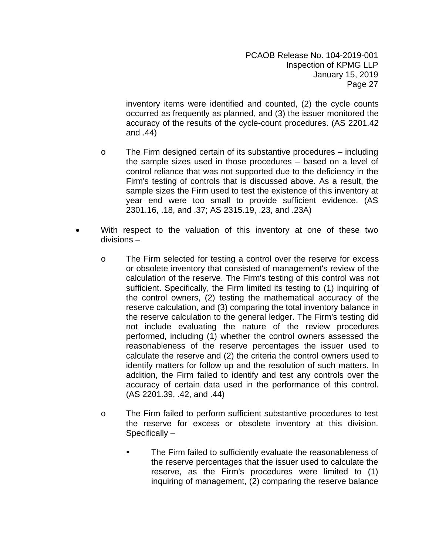inventory items were identified and counted, (2) the cycle counts occurred as frequently as planned, and (3) the issuer monitored the accuracy of the results of the cycle-count procedures. (AS 2201.42 and .44)

- o The Firm designed certain of its substantive procedures including the sample sizes used in those procedures – based on a level of control reliance that was not supported due to the deficiency in the Firm's testing of controls that is discussed above. As a result, the sample sizes the Firm used to test the existence of this inventory at year end were too small to provide sufficient evidence. (AS 2301.16, .18, and .37; AS 2315.19, .23, and .23A)
- With respect to the valuation of this inventory at one of these two divisions –
	- o The Firm selected for testing a control over the reserve for excess or obsolete inventory that consisted of management's review of the calculation of the reserve. The Firm's testing of this control was not sufficient. Specifically, the Firm limited its testing to (1) inquiring of the control owners, (2) testing the mathematical accuracy of the reserve calculation, and (3) comparing the total inventory balance in the reserve calculation to the general ledger. The Firm's testing did not include evaluating the nature of the review procedures performed, including (1) whether the control owners assessed the reasonableness of the reserve percentages the issuer used to calculate the reserve and (2) the criteria the control owners used to identify matters for follow up and the resolution of such matters. In addition, the Firm failed to identify and test any controls over the accuracy of certain data used in the performance of this control. (AS 2201.39, .42, and .44)
	- o The Firm failed to perform sufficient substantive procedures to test the reserve for excess or obsolete inventory at this division. Specifically –
		- The Firm failed to sufficiently evaluate the reasonableness of the reserve percentages that the issuer used to calculate the reserve, as the Firm's procedures were limited to (1) inquiring of management, (2) comparing the reserve balance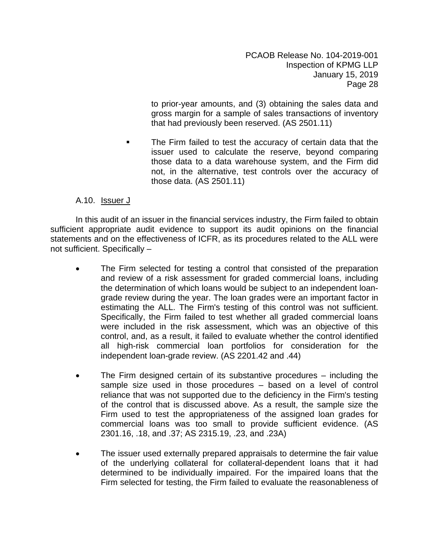to prior-year amounts, and (3) obtaining the sales data and gross margin for a sample of sales transactions of inventory that had previously been reserved. (AS 2501.11)

 The Firm failed to test the accuracy of certain data that the issuer used to calculate the reserve, beyond comparing those data to a data warehouse system, and the Firm did not, in the alternative, test controls over the accuracy of those data. (AS 2501.11)

# A.10. Issuer J

In this audit of an issuer in the financial services industry, the Firm failed to obtain sufficient appropriate audit evidence to support its audit opinions on the financial statements and on the effectiveness of ICFR, as its procedures related to the ALL were not sufficient. Specifically –

- The Firm selected for testing a control that consisted of the preparation and review of a risk assessment for graded commercial loans, including the determination of which loans would be subject to an independent loangrade review during the year. The loan grades were an important factor in estimating the ALL. The Firm's testing of this control was not sufficient. Specifically, the Firm failed to test whether all graded commercial loans were included in the risk assessment, which was an objective of this control, and, as a result, it failed to evaluate whether the control identified all high-risk commercial loan portfolios for consideration for the independent loan-grade review. (AS 2201.42 and .44)
- The Firm designed certain of its substantive procedures including the sample size used in those procedures – based on a level of control reliance that was not supported due to the deficiency in the Firm's testing of the control that is discussed above. As a result, the sample size the Firm used to test the appropriateness of the assigned loan grades for commercial loans was too small to provide sufficient evidence. (AS 2301.16, .18, and .37; AS 2315.19, .23, and .23A)
- The issuer used externally prepared appraisals to determine the fair value of the underlying collateral for collateral-dependent loans that it had determined to be individually impaired. For the impaired loans that the Firm selected for testing, the Firm failed to evaluate the reasonableness of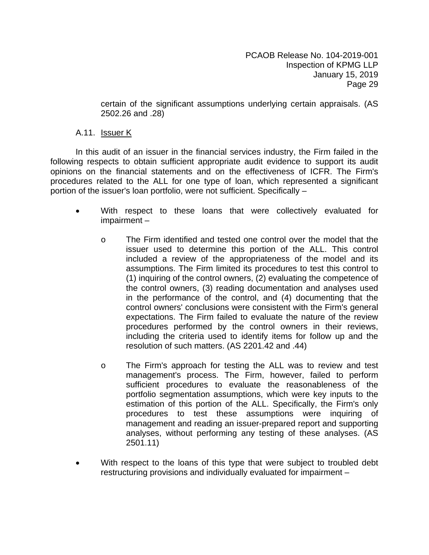certain of the significant assumptions underlying certain appraisals. (AS 2502.26 and .28)

#### A.11. Issuer K

In this audit of an issuer in the financial services industry, the Firm failed in the following respects to obtain sufficient appropriate audit evidence to support its audit opinions on the financial statements and on the effectiveness of ICFR. The Firm's procedures related to the ALL for one type of loan, which represented a significant portion of the issuer's loan portfolio, were not sufficient. Specifically –

- With respect to these loans that were collectively evaluated for impairment –
	- o The Firm identified and tested one control over the model that the issuer used to determine this portion of the ALL. This control included a review of the appropriateness of the model and its assumptions. The Firm limited its procedures to test this control to (1) inquiring of the control owners, (2) evaluating the competence of the control owners, (3) reading documentation and analyses used in the performance of the control, and (4) documenting that the control owners' conclusions were consistent with the Firm's general expectations. The Firm failed to evaluate the nature of the review procedures performed by the control owners in their reviews, including the criteria used to identify items for follow up and the resolution of such matters. (AS 2201.42 and .44)
	- o The Firm's approach for testing the ALL was to review and test management's process. The Firm, however, failed to perform sufficient procedures to evaluate the reasonableness of the portfolio segmentation assumptions, which were key inputs to the estimation of this portion of the ALL. Specifically, the Firm's only procedures to test these assumptions were inquiring of management and reading an issuer-prepared report and supporting analyses, without performing any testing of these analyses. (AS 2501.11)
- With respect to the loans of this type that were subject to troubled debt restructuring provisions and individually evaluated for impairment –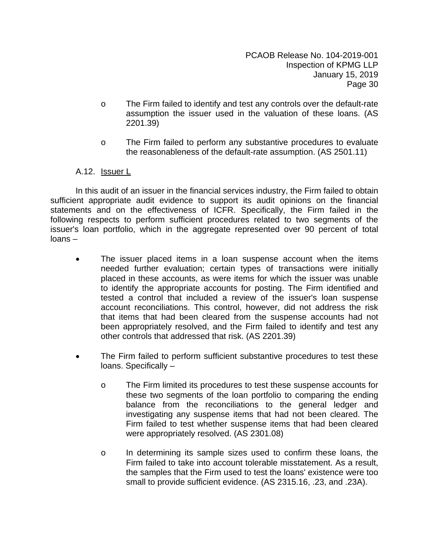- o The Firm failed to identify and test any controls over the default-rate assumption the issuer used in the valuation of these loans. (AS 2201.39)
- o The Firm failed to perform any substantive procedures to evaluate the reasonableness of the default-rate assumption. (AS 2501.11)

#### A.12. Issuer L

In this audit of an issuer in the financial services industry, the Firm failed to obtain sufficient appropriate audit evidence to support its audit opinions on the financial statements and on the effectiveness of ICFR. Specifically, the Firm failed in the following respects to perform sufficient procedures related to two segments of the issuer's loan portfolio, which in the aggregate represented over 90 percent of total loans –

- The issuer placed items in a loan suspense account when the items needed further evaluation; certain types of transactions were initially placed in these accounts, as were items for which the issuer was unable to identify the appropriate accounts for posting. The Firm identified and tested a control that included a review of the issuer's loan suspense account reconciliations. This control, however, did not address the risk that items that had been cleared from the suspense accounts had not been appropriately resolved, and the Firm failed to identify and test any other controls that addressed that risk. (AS 2201.39)
- The Firm failed to perform sufficient substantive procedures to test these loans. Specifically –
	- o The Firm limited its procedures to test these suspense accounts for these two segments of the loan portfolio to comparing the ending balance from the reconciliations to the general ledger and investigating any suspense items that had not been cleared. The Firm failed to test whether suspense items that had been cleared were appropriately resolved. (AS 2301.08)
	- o In determining its sample sizes used to confirm these loans, the Firm failed to take into account tolerable misstatement. As a result, the samples that the Firm used to test the loans' existence were too small to provide sufficient evidence. (AS 2315.16, .23, and .23A).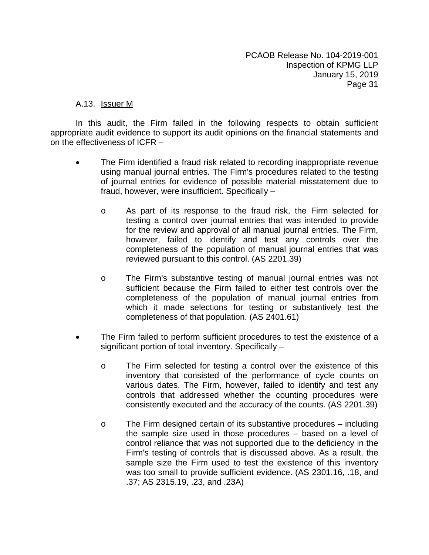#### A.13. Issuer M

- The Firm identified a fraud risk related to recording inappropriate revenue using manual journal entries. The Firm's procedures related to the testing of journal entries for evidence of possible material misstatement due to fraud, however, were insufficient. Specifically –
	- o As part of its response to the fraud risk, the Firm selected for testing a control over journal entries that was intended to provide for the review and approval of all manual journal entries. The Firm, however, failed to identify and test any controls over the completeness of the population of manual journal entries that was reviewed pursuant to this control. (AS 2201.39)
	- o The Firm's substantive testing of manual journal entries was not sufficient because the Firm failed to either test controls over the completeness of the population of manual journal entries from which it made selections for testing or substantively test the completeness of that population. (AS 2401.61)
- The Firm failed to perform sufficient procedures to test the existence of a significant portion of total inventory. Specifically –
	- o The Firm selected for testing a control over the existence of this inventory that consisted of the performance of cycle counts on various dates. The Firm, however, failed to identify and test any controls that addressed whether the counting procedures were consistently executed and the accuracy of the counts. (AS 2201.39)
	- o The Firm designed certain of its substantive procedures including the sample size used in those procedures – based on a level of control reliance that was not supported due to the deficiency in the Firm's testing of controls that is discussed above. As a result, the sample size the Firm used to test the existence of this inventory was too small to provide sufficient evidence. (AS 2301.16, .18, and .37; AS 2315.19, .23, and .23A)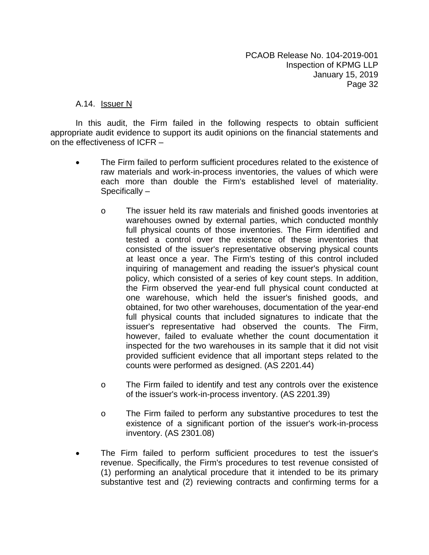#### A.14. **Issuer N**

- The Firm failed to perform sufficient procedures related to the existence of raw materials and work-in-process inventories, the values of which were each more than double the Firm's established level of materiality. Specifically –
	- o The issuer held its raw materials and finished goods inventories at warehouses owned by external parties, which conducted monthly full physical counts of those inventories. The Firm identified and tested a control over the existence of these inventories that consisted of the issuer's representative observing physical counts at least once a year. The Firm's testing of this control included inquiring of management and reading the issuer's physical count policy, which consisted of a series of key count steps. In addition, the Firm observed the year-end full physical count conducted at one warehouse, which held the issuer's finished goods, and obtained, for two other warehouses, documentation of the year-end full physical counts that included signatures to indicate that the issuer's representative had observed the counts. The Firm, however, failed to evaluate whether the count documentation it inspected for the two warehouses in its sample that it did not visit provided sufficient evidence that all important steps related to the counts were performed as designed. (AS 2201.44)
	- o The Firm failed to identify and test any controls over the existence of the issuer's work-in-process inventory. (AS 2201.39)
	- o The Firm failed to perform any substantive procedures to test the existence of a significant portion of the issuer's work-in-process inventory. (AS 2301.08)
- The Firm failed to perform sufficient procedures to test the issuer's revenue. Specifically, the Firm's procedures to test revenue consisted of (1) performing an analytical procedure that it intended to be its primary substantive test and (2) reviewing contracts and confirming terms for a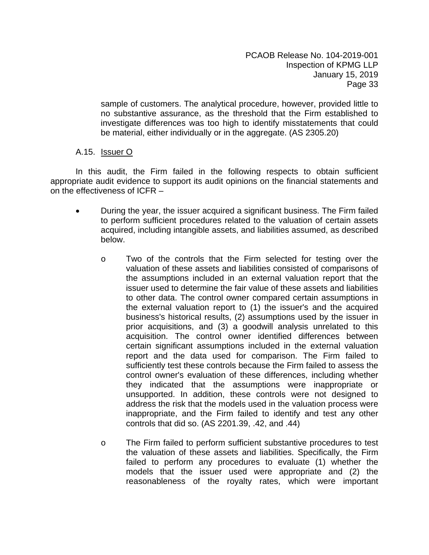sample of customers. The analytical procedure, however, provided little to no substantive assurance, as the threshold that the Firm established to investigate differences was too high to identify misstatements that could be material, either individually or in the aggregate. (AS 2305.20)

# A.15. Issuer O

- During the year, the issuer acquired a significant business. The Firm failed to perform sufficient procedures related to the valuation of certain assets acquired, including intangible assets, and liabilities assumed, as described below.
	- o Two of the controls that the Firm selected for testing over the valuation of these assets and liabilities consisted of comparisons of the assumptions included in an external valuation report that the issuer used to determine the fair value of these assets and liabilities to other data. The control owner compared certain assumptions in the external valuation report to (1) the issuer's and the acquired business's historical results, (2) assumptions used by the issuer in prior acquisitions, and (3) a goodwill analysis unrelated to this acquisition. The control owner identified differences between certain significant assumptions included in the external valuation report and the data used for comparison. The Firm failed to sufficiently test these controls because the Firm failed to assess the control owner's evaluation of these differences, including whether they indicated that the assumptions were inappropriate or unsupported. In addition, these controls were not designed to address the risk that the models used in the valuation process were inappropriate, and the Firm failed to identify and test any other controls that did so. (AS 2201.39, .42, and .44)
	- o The Firm failed to perform sufficient substantive procedures to test the valuation of these assets and liabilities. Specifically, the Firm failed to perform any procedures to evaluate (1) whether the models that the issuer used were appropriate and (2) the reasonableness of the royalty rates, which were important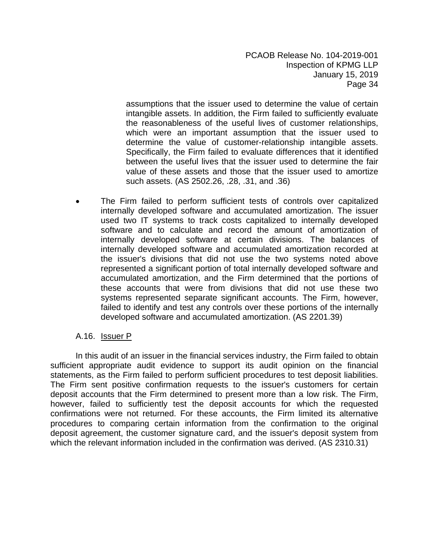assumptions that the issuer used to determine the value of certain intangible assets. In addition, the Firm failed to sufficiently evaluate the reasonableness of the useful lives of customer relationships, which were an important assumption that the issuer used to determine the value of customer-relationship intangible assets. Specifically, the Firm failed to evaluate differences that it identified between the useful lives that the issuer used to determine the fair value of these assets and those that the issuer used to amortize such assets. (AS 2502.26, .28, .31, and .36)

 The Firm failed to perform sufficient tests of controls over capitalized internally developed software and accumulated amortization. The issuer used two IT systems to track costs capitalized to internally developed software and to calculate and record the amount of amortization of internally developed software at certain divisions. The balances of internally developed software and accumulated amortization recorded at the issuer's divisions that did not use the two systems noted above represented a significant portion of total internally developed software and accumulated amortization, and the Firm determined that the portions of these accounts that were from divisions that did not use these two systems represented separate significant accounts. The Firm, however, failed to identify and test any controls over these portions of the internally developed software and accumulated amortization. (AS 2201.39)

#### A.16. Issuer P

In this audit of an issuer in the financial services industry, the Firm failed to obtain sufficient appropriate audit evidence to support its audit opinion on the financial statements, as the Firm failed to perform sufficient procedures to test deposit liabilities. The Firm sent positive confirmation requests to the issuer's customers for certain deposit accounts that the Firm determined to present more than a low risk. The Firm, however, failed to sufficiently test the deposit accounts for which the requested confirmations were not returned. For these accounts, the Firm limited its alternative procedures to comparing certain information from the confirmation to the original deposit agreement, the customer signature card, and the issuer's deposit system from which the relevant information included in the confirmation was derived. (AS 2310.31)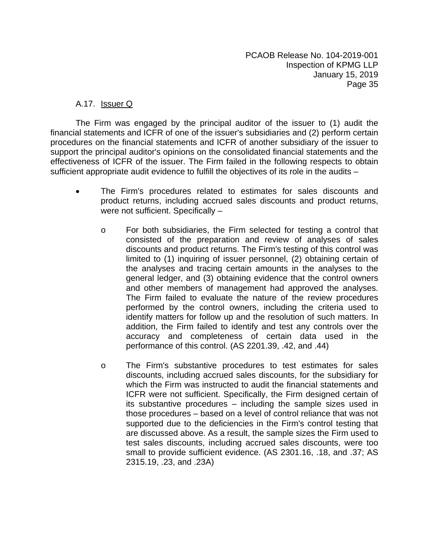# A.17. Issuer Q

The Firm was engaged by the principal auditor of the issuer to (1) audit the financial statements and ICFR of one of the issuer's subsidiaries and (2) perform certain procedures on the financial statements and ICFR of another subsidiary of the issuer to support the principal auditor's opinions on the consolidated financial statements and the effectiveness of ICFR of the issuer. The Firm failed in the following respects to obtain sufficient appropriate audit evidence to fulfill the objectives of its role in the audits –

- The Firm's procedures related to estimates for sales discounts and product returns, including accrued sales discounts and product returns, were not sufficient. Specifically –
	- o For both subsidiaries, the Firm selected for testing a control that consisted of the preparation and review of analyses of sales discounts and product returns. The Firm's testing of this control was limited to (1) inquiring of issuer personnel, (2) obtaining certain of the analyses and tracing certain amounts in the analyses to the general ledger, and (3) obtaining evidence that the control owners and other members of management had approved the analyses. The Firm failed to evaluate the nature of the review procedures performed by the control owners, including the criteria used to identify matters for follow up and the resolution of such matters. In addition, the Firm failed to identify and test any controls over the accuracy and completeness of certain data used in the performance of this control. (AS 2201.39, .42, and .44)
	- o The Firm's substantive procedures to test estimates for sales discounts, including accrued sales discounts, for the subsidiary for which the Firm was instructed to audit the financial statements and ICFR were not sufficient. Specifically, the Firm designed certain of its substantive procedures – including the sample sizes used in those procedures – based on a level of control reliance that was not supported due to the deficiencies in the Firm's control testing that are discussed above. As a result, the sample sizes the Firm used to test sales discounts, including accrued sales discounts, were too small to provide sufficient evidence. (AS 2301.16, .18, and .37; AS 2315.19, .23, and .23A)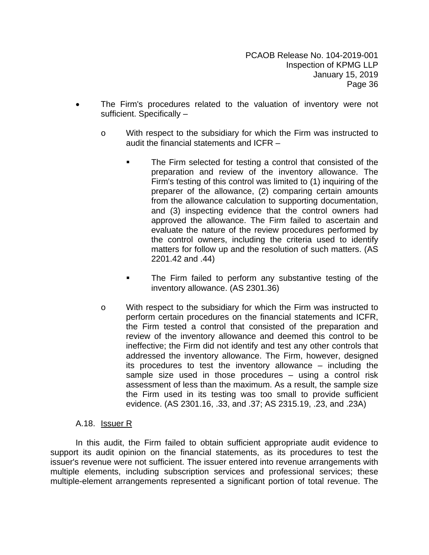- The Firm's procedures related to the valuation of inventory were not sufficient. Specifically –
	- o With respect to the subsidiary for which the Firm was instructed to audit the financial statements and ICFR –
		- The Firm selected for testing a control that consisted of the preparation and review of the inventory allowance. The Firm's testing of this control was limited to (1) inquiring of the preparer of the allowance, (2) comparing certain amounts from the allowance calculation to supporting documentation, and (3) inspecting evidence that the control owners had approved the allowance. The Firm failed to ascertain and evaluate the nature of the review procedures performed by the control owners, including the criteria used to identify matters for follow up and the resolution of such matters. (AS 2201.42 and .44)
		- **The Firm failed to perform any substantive testing of the** inventory allowance. (AS 2301.36)
	- o With respect to the subsidiary for which the Firm was instructed to perform certain procedures on the financial statements and ICFR, the Firm tested a control that consisted of the preparation and review of the inventory allowance and deemed this control to be ineffective; the Firm did not identify and test any other controls that addressed the inventory allowance. The Firm, however, designed its procedures to test the inventory allowance – including the sample size used in those procedures – using a control risk assessment of less than the maximum. As a result, the sample size the Firm used in its testing was too small to provide sufficient evidence. (AS 2301.16, .33, and .37; AS 2315.19, .23, and .23A)

#### A.18. Issuer R

In this audit, the Firm failed to obtain sufficient appropriate audit evidence to support its audit opinion on the financial statements, as its procedures to test the issuer's revenue were not sufficient. The issuer entered into revenue arrangements with multiple elements, including subscription services and professional services; these multiple-element arrangements represented a significant portion of total revenue. The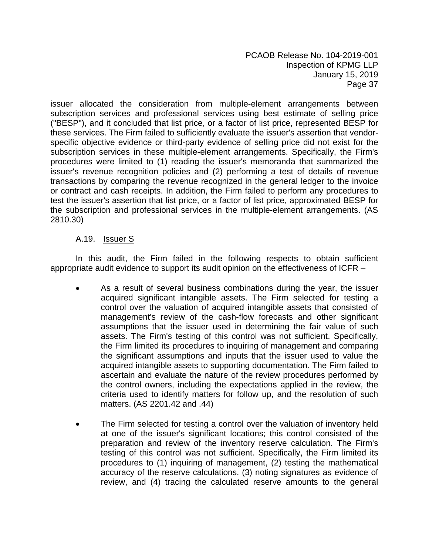issuer allocated the consideration from multiple-element arrangements between subscription services and professional services using best estimate of selling price ("BESP"), and it concluded that list price, or a factor of list price, represented BESP for these services. The Firm failed to sufficiently evaluate the issuer's assertion that vendorspecific objective evidence or third-party evidence of selling price did not exist for the subscription services in these multiple-element arrangements. Specifically, the Firm's procedures were limited to (1) reading the issuer's memoranda that summarized the issuer's revenue recognition policies and (2) performing a test of details of revenue transactions by comparing the revenue recognized in the general ledger to the invoice or contract and cash receipts. In addition, the Firm failed to perform any procedures to test the issuer's assertion that list price, or a factor of list price, approximated BESP for the subscription and professional services in the multiple-element arrangements. (AS 2810.30)

# A.19. Issuer S

In this audit, the Firm failed in the following respects to obtain sufficient appropriate audit evidence to support its audit opinion on the effectiveness of ICFR –

- As a result of several business combinations during the year, the issuer acquired significant intangible assets. The Firm selected for testing a control over the valuation of acquired intangible assets that consisted of management's review of the cash-flow forecasts and other significant assumptions that the issuer used in determining the fair value of such assets. The Firm's testing of this control was not sufficient. Specifically, the Firm limited its procedures to inquiring of management and comparing the significant assumptions and inputs that the issuer used to value the acquired intangible assets to supporting documentation. The Firm failed to ascertain and evaluate the nature of the review procedures performed by the control owners, including the expectations applied in the review, the criteria used to identify matters for follow up, and the resolution of such matters. (AS 2201.42 and .44)
- The Firm selected for testing a control over the valuation of inventory held at one of the issuer's significant locations; this control consisted of the preparation and review of the inventory reserve calculation. The Firm's testing of this control was not sufficient. Specifically, the Firm limited its procedures to (1) inquiring of management, (2) testing the mathematical accuracy of the reserve calculations, (3) noting signatures as evidence of review, and (4) tracing the calculated reserve amounts to the general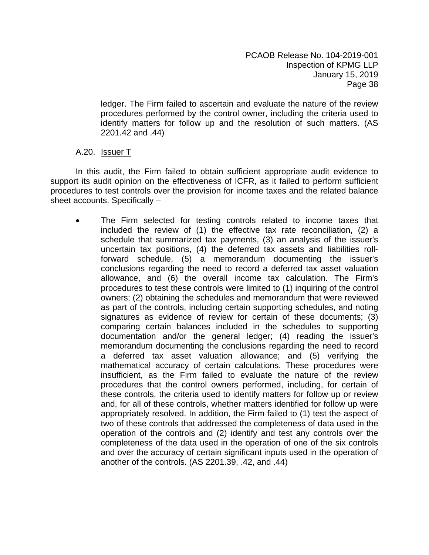ledger. The Firm failed to ascertain and evaluate the nature of the review procedures performed by the control owner, including the criteria used to identify matters for follow up and the resolution of such matters. (AS 2201.42 and .44)

#### A.20. Issuer T

In this audit, the Firm failed to obtain sufficient appropriate audit evidence to support its audit opinion on the effectiveness of ICFR, as it failed to perform sufficient procedures to test controls over the provision for income taxes and the related balance sheet accounts. Specifically –

 The Firm selected for testing controls related to income taxes that included the review of (1) the effective tax rate reconciliation, (2) a schedule that summarized tax payments, (3) an analysis of the issuer's uncertain tax positions, (4) the deferred tax assets and liabilities rollforward schedule, (5) a memorandum documenting the issuer's conclusions regarding the need to record a deferred tax asset valuation allowance, and (6) the overall income tax calculation. The Firm's procedures to test these controls were limited to (1) inquiring of the control owners; (2) obtaining the schedules and memorandum that were reviewed as part of the controls, including certain supporting schedules, and noting signatures as evidence of review for certain of these documents; (3) comparing certain balances included in the schedules to supporting documentation and/or the general ledger; (4) reading the issuer's memorandum documenting the conclusions regarding the need to record a deferred tax asset valuation allowance; and (5) verifying the mathematical accuracy of certain calculations. These procedures were insufficient, as the Firm failed to evaluate the nature of the review procedures that the control owners performed, including, for certain of these controls, the criteria used to identify matters for follow up or review and, for all of these controls, whether matters identified for follow up were appropriately resolved. In addition, the Firm failed to (1) test the aspect of two of these controls that addressed the completeness of data used in the operation of the controls and (2) identify and test any controls over the completeness of the data used in the operation of one of the six controls and over the accuracy of certain significant inputs used in the operation of another of the controls. (AS 2201.39, .42, and .44)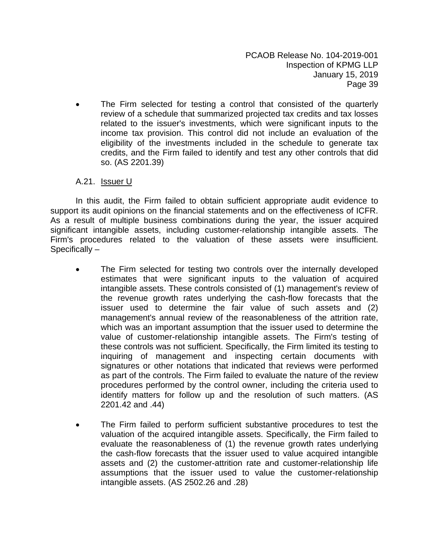The Firm selected for testing a control that consisted of the quarterly review of a schedule that summarized projected tax credits and tax losses related to the issuer's investments, which were significant inputs to the income tax provision. This control did not include an evaluation of the eligibility of the investments included in the schedule to generate tax credits, and the Firm failed to identify and test any other controls that did so. (AS 2201.39)

#### A.21. Issuer U

In this audit, the Firm failed to obtain sufficient appropriate audit evidence to support its audit opinions on the financial statements and on the effectiveness of ICFR. As a result of multiple business combinations during the year, the issuer acquired significant intangible assets, including customer-relationship intangible assets. The Firm's procedures related to the valuation of these assets were insufficient. Specifically –

- The Firm selected for testing two controls over the internally developed estimates that were significant inputs to the valuation of acquired intangible assets. These controls consisted of (1) management's review of the revenue growth rates underlying the cash-flow forecasts that the issuer used to determine the fair value of such assets and (2) management's annual review of the reasonableness of the attrition rate, which was an important assumption that the issuer used to determine the value of customer-relationship intangible assets. The Firm's testing of these controls was not sufficient. Specifically, the Firm limited its testing to inquiring of management and inspecting certain documents with signatures or other notations that indicated that reviews were performed as part of the controls. The Firm failed to evaluate the nature of the review procedures performed by the control owner, including the criteria used to identify matters for follow up and the resolution of such matters. (AS 2201.42 and .44)
- The Firm failed to perform sufficient substantive procedures to test the valuation of the acquired intangible assets. Specifically, the Firm failed to evaluate the reasonableness of (1) the revenue growth rates underlying the cash-flow forecasts that the issuer used to value acquired intangible assets and (2) the customer-attrition rate and customer-relationship life assumptions that the issuer used to value the customer-relationship intangible assets. (AS 2502.26 and .28)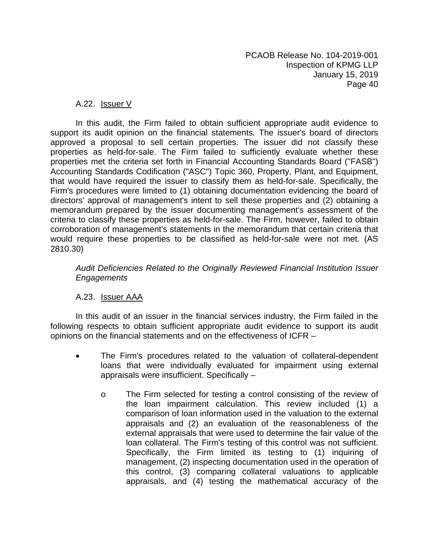#### A.22. Issuer V

In this audit, the Firm failed to obtain sufficient appropriate audit evidence to support its audit opinion on the financial statements. The issuer's board of directors approved a proposal to sell certain properties. The issuer did not classify these properties as held-for-sale. The Firm failed to sufficiently evaluate whether these properties met the criteria set forth in Financial Accounting Standards Board ("FASB") Accounting Standards Codification ("ASC") Topic 360, Property, Plant, and Equipment, that would have required the issuer to classify them as held-for-sale. Specifically, the Firm's procedures were limited to (1) obtaining documentation evidencing the board of directors' approval of management's intent to sell these properties and (2) obtaining a memorandum prepared by the issuer documenting management's assessment of the criteria to classify these properties as held-for-sale. The Firm, however, failed to obtain corroboration of management's statements in the memorandum that certain criteria that would require these properties to be classified as held-for-sale were not met. (AS 2810.30)

*Audit Deficiencies Related to the Originally Reviewed Financial Institution Issuer Engagements* 

# A.23. Issuer AAA

In this audit of an issuer in the financial services industry, the Firm failed in the following respects to obtain sufficient appropriate audit evidence to support its audit opinions on the financial statements and on the effectiveness of ICFR –

- The Firm's procedures related to the valuation of collateral-dependent loans that were individually evaluated for impairment using external appraisals were insufficient. Specifically –
	- o The Firm selected for testing a control consisting of the review of the loan impairment calculation. This review included (1) a comparison of loan information used in the valuation to the external appraisals and (2) an evaluation of the reasonableness of the external appraisals that were used to determine the fair value of the loan collateral. The Firm's testing of this control was not sufficient. Specifically, the Firm limited its testing to (1) inquiring of management, (2) inspecting documentation used in the operation of this control, (3) comparing collateral valuations to applicable appraisals, and (4) testing the mathematical accuracy of the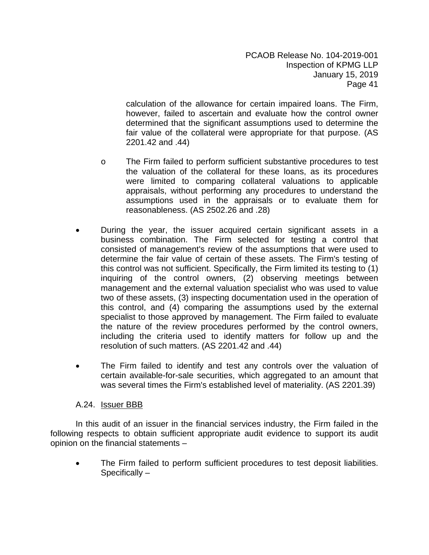calculation of the allowance for certain impaired loans. The Firm, however, failed to ascertain and evaluate how the control owner determined that the significant assumptions used to determine the fair value of the collateral were appropriate for that purpose. (AS 2201.42 and .44)

- o The Firm failed to perform sufficient substantive procedures to test the valuation of the collateral for these loans, as its procedures were limited to comparing collateral valuations to applicable appraisals, without performing any procedures to understand the assumptions used in the appraisals or to evaluate them for reasonableness. (AS 2502.26 and .28)
- During the year, the issuer acquired certain significant assets in a business combination. The Firm selected for testing a control that consisted of management's review of the assumptions that were used to determine the fair value of certain of these assets. The Firm's testing of this control was not sufficient. Specifically, the Firm limited its testing to (1) inquiring of the control owners, (2) observing meetings between management and the external valuation specialist who was used to value two of these assets, (3) inspecting documentation used in the operation of this control, and (4) comparing the assumptions used by the external specialist to those approved by management. The Firm failed to evaluate the nature of the review procedures performed by the control owners, including the criteria used to identify matters for follow up and the resolution of such matters. (AS 2201.42 and .44)
- The Firm failed to identify and test any controls over the valuation of certain available-for-sale securities, which aggregated to an amount that was several times the Firm's established level of materiality. (AS 2201.39)

# A.24. Issuer BBB

In this audit of an issuer in the financial services industry, the Firm failed in the following respects to obtain sufficient appropriate audit evidence to support its audit opinion on the financial statements –

• The Firm failed to perform sufficient procedures to test deposit liabilities. Specifically –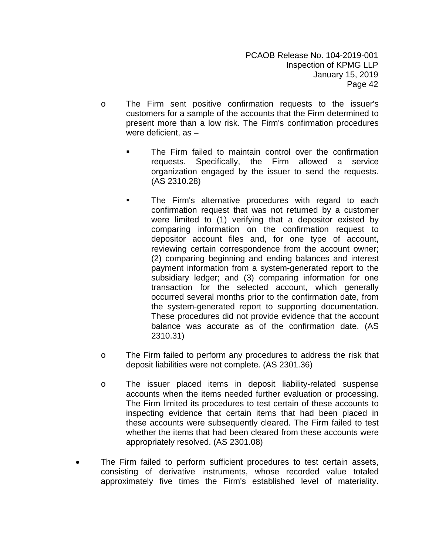- o The Firm sent positive confirmation requests to the issuer's customers for a sample of the accounts that the Firm determined to present more than a low risk. The Firm's confirmation procedures were deficient, as –
	- The Firm failed to maintain control over the confirmation requests. Specifically, the Firm allowed a service organization engaged by the issuer to send the requests. (AS 2310.28)
	- **The Firm's alternative procedures with regard to each** confirmation request that was not returned by a customer were limited to (1) verifying that a depositor existed by comparing information on the confirmation request to depositor account files and, for one type of account, reviewing certain correspondence from the account owner; (2) comparing beginning and ending balances and interest payment information from a system-generated report to the subsidiary ledger; and (3) comparing information for one transaction for the selected account, which generally occurred several months prior to the confirmation date, from the system-generated report to supporting documentation. These procedures did not provide evidence that the account balance was accurate as of the confirmation date. (AS 2310.31)
- o The Firm failed to perform any procedures to address the risk that deposit liabilities were not complete. (AS 2301.36)
- o The issuer placed items in deposit liability-related suspense accounts when the items needed further evaluation or processing. The Firm limited its procedures to test certain of these accounts to inspecting evidence that certain items that had been placed in these accounts were subsequently cleared. The Firm failed to test whether the items that had been cleared from these accounts were appropriately resolved. (AS 2301.08)
- The Firm failed to perform sufficient procedures to test certain assets, consisting of derivative instruments, whose recorded value totaled approximately five times the Firm's established level of materiality.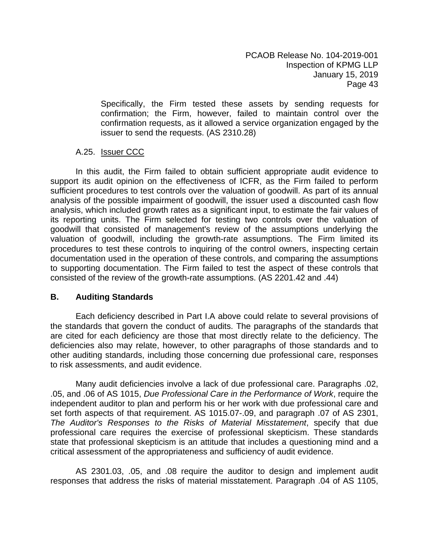Specifically, the Firm tested these assets by sending requests for confirmation; the Firm, however, failed to maintain control over the confirmation requests, as it allowed a service organization engaged by the issuer to send the requests. (AS 2310.28)

# A.25. **Issuer CCC**

In this audit, the Firm failed to obtain sufficient appropriate audit evidence to support its audit opinion on the effectiveness of ICFR, as the Firm failed to perform sufficient procedures to test controls over the valuation of goodwill. As part of its annual analysis of the possible impairment of goodwill, the issuer used a discounted cash flow analysis, which included growth rates as a significant input, to estimate the fair values of its reporting units. The Firm selected for testing two controls over the valuation of goodwill that consisted of management's review of the assumptions underlying the valuation of goodwill, including the growth-rate assumptions. The Firm limited its procedures to test these controls to inquiring of the control owners, inspecting certain documentation used in the operation of these controls, and comparing the assumptions to supporting documentation. The Firm failed to test the aspect of these controls that consisted of the review of the growth-rate assumptions. (AS 2201.42 and .44)

# **B. Auditing Standards**

Each deficiency described in Part I.A above could relate to several provisions of the standards that govern the conduct of audits. The paragraphs of the standards that are cited for each deficiency are those that most directly relate to the deficiency. The deficiencies also may relate, however, to other paragraphs of those standards and to other auditing standards, including those concerning due professional care, responses to risk assessments, and audit evidence.

Many audit deficiencies involve a lack of due professional care. Paragraphs .02, .05, and .06 of AS 1015, *Due Professional Care in the Performance of Work*, require the independent auditor to plan and perform his or her work with due professional care and set forth aspects of that requirement. AS 1015.07-.09, and paragraph .07 of AS 2301, *The Auditor's Responses to the Risks of Material Misstatement*, specify that due professional care requires the exercise of professional skepticism. These standards state that professional skepticism is an attitude that includes a questioning mind and a critical assessment of the appropriateness and sufficiency of audit evidence.

AS 2301.03, .05, and .08 require the auditor to design and implement audit responses that address the risks of material misstatement. Paragraph .04 of AS 1105,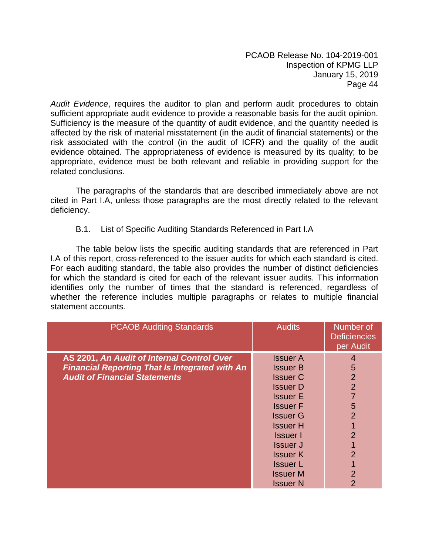*Audit Evidence*, requires the auditor to plan and perform audit procedures to obtain sufficient appropriate audit evidence to provide a reasonable basis for the audit opinion. Sufficiency is the measure of the quantity of audit evidence, and the quantity needed is affected by the risk of material misstatement (in the audit of financial statements) or the risk associated with the control (in the audit of ICFR) and the quality of the audit evidence obtained. The appropriateness of evidence is measured by its quality; to be appropriate, evidence must be both relevant and reliable in providing support for the related conclusions.

The paragraphs of the standards that are described immediately above are not cited in Part I.A, unless those paragraphs are the most directly related to the relevant deficiency.

#### B.1. List of Specific Auditing Standards Referenced in Part I.A

The table below lists the specific auditing standards that are referenced in Part I.A of this report, cross-referenced to the issuer audits for which each standard is cited. For each auditing standard, the table also provides the number of distinct deficiencies for which the standard is cited for each of the relevant issuer audits. This information identifies only the number of times that the standard is referenced, regardless of whether the reference includes multiple paragraphs or relates to multiple financial statement accounts.

| <b>PCAOB Auditing Standards</b>                       | <b>Audits</b>   | Number of<br><b>Deficiencies</b><br>per Audit |
|-------------------------------------------------------|-----------------|-----------------------------------------------|
| AS 2201, An Audit of Internal Control Over            | <b>Issuer A</b> | 4                                             |
| <b>Financial Reporting That Is Integrated with An</b> | <b>Issuer B</b> | 5                                             |
| <b>Audit of Financial Statements</b>                  | <b>Issuer C</b> | $\overline{2}$                                |
|                                                       | <b>Issuer D</b> | $\overline{2}$                                |
|                                                       | <b>Issuer E</b> |                                               |
|                                                       | <b>Issuer F</b> | 5                                             |
|                                                       | <b>Issuer G</b> | $\overline{2}$                                |
|                                                       | <b>Issuer H</b> |                                               |
|                                                       | <b>Issuer</b> I | $\overline{2}$                                |
|                                                       | <b>Issuer J</b> |                                               |
|                                                       | <b>Issuer K</b> | $\overline{2}$                                |
|                                                       | <b>Issuer L</b> |                                               |
|                                                       | <b>Issuer M</b> | $\overline{2}$                                |
|                                                       | <b>Issuer N</b> | $\overline{2}$                                |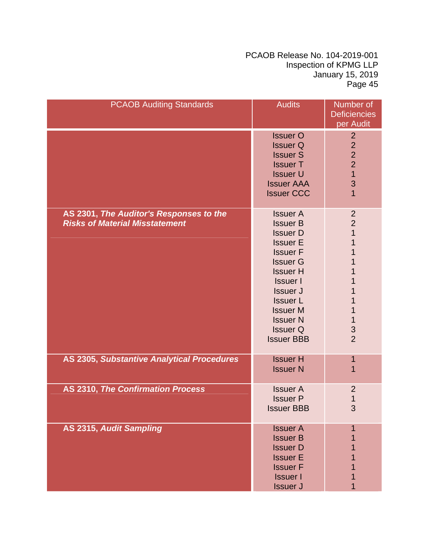| <b>PCAOB Auditing Standards</b>                                                  | <b>Audits</b>                                                                                                                                                                                                                                                            | Number of<br><b>Deficiencies</b><br>per Audit                                                                            |
|----------------------------------------------------------------------------------|--------------------------------------------------------------------------------------------------------------------------------------------------------------------------------------------------------------------------------------------------------------------------|--------------------------------------------------------------------------------------------------------------------------|
|                                                                                  | <b>Issuer O</b><br><b>Issuer Q</b><br><b>Issuer S</b><br><b>Issuer T</b><br><b>Issuer U</b><br><b>Issuer AAA</b><br><b>Issuer CCC</b>                                                                                                                                    | $\overline{2}$<br>$\overline{2}$<br>$\overline{2}$<br>$\overline{2}$<br>$\overline{1}$<br>3<br>$\overline{1}$            |
| AS 2301, The Auditor's Responses to the<br><b>Risks of Material Misstatement</b> | <b>Issuer A</b><br><b>Issuer B</b><br><b>Issuer D</b><br><b>Issuer E</b><br><b>Issuer F</b><br><b>Issuer G</b><br><b>Issuer H</b><br><b>Issuer I</b><br><b>Issuer J</b><br><b>Issuer L</b><br><b>Issuer M</b><br><b>Issuer N</b><br><b>Issuer Q</b><br><b>Issuer BBB</b> | $\overline{2}$<br>$\overline{2}$<br>$\mathbf 1$<br>1<br>1<br>1<br>1<br>1<br>1<br>1<br>$\mathbf 1$<br>3<br>$\overline{2}$ |
| AS 2305, Substantive Analytical Procedures                                       | <b>Issuer H</b><br><b>Issuer N</b>                                                                                                                                                                                                                                       | 1<br>1                                                                                                                   |
| <b>AS 2310, The Confirmation Process</b>                                         | <b>Issuer A</b><br><b>Issuer P</b><br><b>Issuer BBB</b>                                                                                                                                                                                                                  | $\overline{2}$<br>$\mathbf 1$<br>3                                                                                       |
| AS 2315, Audit Sampling                                                          | <b>Issuer A</b><br><b>Issuer B</b><br><b>Issuer D</b><br><b>Issuer E</b><br><b>Issuer F</b><br><b>Issuer I</b><br><b>Issuer J</b>                                                                                                                                        | 1                                                                                                                        |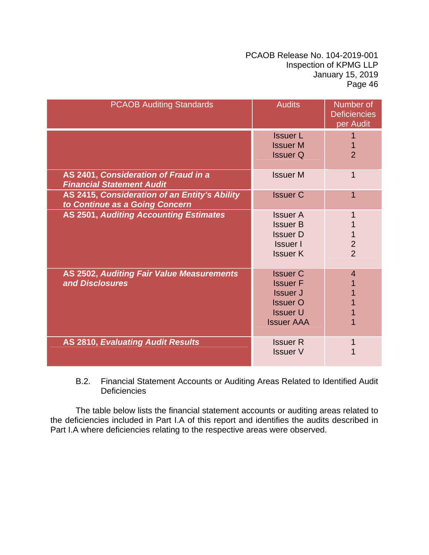| <b>PCAOB Auditing Standards</b>                                                 | <b>Audits</b>                                                                                                    | Number of<br><b>Deficiencies</b><br>per Audit |
|---------------------------------------------------------------------------------|------------------------------------------------------------------------------------------------------------------|-----------------------------------------------|
|                                                                                 | <b>Issuer L</b><br><b>Issuer M</b><br><b>Issuer Q</b>                                                            | $\overline{2}$                                |
| AS 2401, Consideration of Fraud in a<br><b>Financial Statement Audit</b>        | <b>Issuer M</b>                                                                                                  | 1                                             |
| AS 2415, Consideration of an Entity's Ability<br>to Continue as a Going Concern | <b>Issuer C</b>                                                                                                  |                                               |
| <b>AS 2501, Auditing Accounting Estimates</b>                                   | <b>Issuer A</b><br><b>Issuer B</b><br><b>Issuer D</b><br><b>Issuer</b> I<br><b>Issuer K</b>                      | $\overline{2}$<br>$\overline{2}$              |
| <b>AS 2502, Auditing Fair Value Measurements</b><br>and Disclosures             | <b>Issuer C</b><br><b>Issuer F</b><br><b>Issuer J</b><br><b>Issuer O</b><br><b>Issuer U</b><br><b>Issuer AAA</b> | $\boldsymbol{4}$                              |
| <b>AS 2810, Evaluating Audit Results</b>                                        | <b>Issuer R</b><br><b>Issuer V</b>                                                                               |                                               |

# B.2. Financial Statement Accounts or Auditing Areas Related to Identified Audit **Deficiencies**

The table below lists the financial statement accounts or auditing areas related to the deficiencies included in Part I.A of this report and identifies the audits described in Part I.A where deficiencies relating to the respective areas were observed.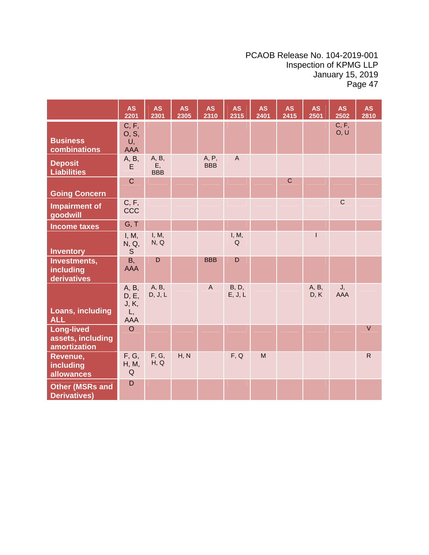|                                                        | <b>AS</b><br>2201                           | <b>AS</b><br>2301         | <b>AS</b><br>2305 | <b>AS</b><br>2310   | <b>AS</b><br>2315         | <b>AS</b><br>2401 | <b>AS</b><br>2415 | <b>AS</b><br>2501 | <b>AS</b><br>2502 | <b>AS</b><br>2810 |
|--------------------------------------------------------|---------------------------------------------|---------------------------|-------------------|---------------------|---------------------------|-------------------|-------------------|-------------------|-------------------|-------------------|
| <b>Business</b><br>combinations                        | C, F,<br>O, S,<br>U,<br><b>AAA</b>          |                           |                   |                     |                           |                   |                   |                   | C, F,<br>O, U     |                   |
| <b>Deposit</b><br><b>Liabilities</b>                   | A, B,<br>E                                  | A, B,<br>E,<br><b>BBB</b> |                   | A, P,<br><b>BBB</b> | $\boldsymbol{\mathsf{A}}$ |                   |                   |                   |                   |                   |
| <b>Going Concern</b>                                   | $\mathbf C$                                 |                           |                   |                     |                           |                   | $\mathsf{C}$      |                   |                   |                   |
| <b>Impairment of</b><br>goodwill                       | C, F,<br>CCC                                |                           |                   |                     |                           |                   |                   |                   | $\mathbf C$       |                   |
| <b>Income taxes</b>                                    | G, T                                        |                           |                   |                     |                           |                   |                   |                   |                   |                   |
| <b>Inventory</b>                                       | I, M,<br>N, Q,<br>S.                        | I, M,<br>N, Q             |                   |                     | I, M,<br>Q                |                   |                   | $\mathsf{I}$      |                   |                   |
| Investments,<br>including<br>derivatives               | <b>B</b> ,<br><b>AAA</b>                    | D                         |                   | <b>BBB</b>          | $\mathsf D$               |                   |                   |                   |                   |                   |
| Loans, including<br><b>ALL</b>                         | A, B,<br>D, E,<br>J, K,<br>L,<br><b>AAA</b> | A, B,<br>D, J, L          |                   | $\overline{A}$      | <b>B</b> , D,<br>E, J, L  |                   |                   | A, B,<br>D, K     | J,<br>AAA         |                   |
| <b>Long-lived</b><br>assets, including<br>amortization | $\circ$                                     |                           |                   |                     |                           |                   |                   |                   |                   | $\vee$            |
| Revenue,<br>including<br>allowances                    | F, G,<br>H, M,<br>Q                         | F, G,<br>H, Q             | H, N              |                     | F, Q                      | M                 |                   |                   |                   | $\mathsf{R}$      |
| <b>Other (MSRs and</b><br><b>Derivatives)</b>          | $\mathsf D$                                 |                           |                   |                     |                           |                   |                   |                   |                   |                   |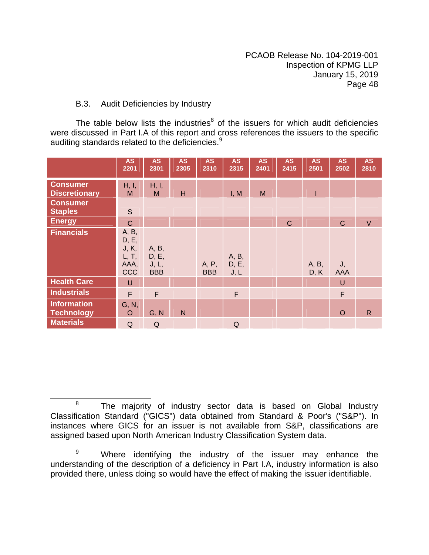# B.3. Audit Deficiencies by Industry

The table below lists the industries $<sup>8</sup>$  of the issuers for which audit deficiencies</sup> were discussed in Part I.A of this report and cross references the issuers to the specific auditing standards related to the deficiencies. $9$ 

|                                         | <b>AS</b><br>2201                                      | <b>AS</b><br>2301                     | <b>AS</b><br>2305 | <b>AS</b><br>2310   | <b>AS</b><br>2315      | <b>AS</b><br>2401 | <b>AS</b><br>2415 | <b>AS</b><br>2501 | <b>AS</b><br>2502 | <b>AS</b><br>2810 |
|-----------------------------------------|--------------------------------------------------------|---------------------------------------|-------------------|---------------------|------------------------|-------------------|-------------------|-------------------|-------------------|-------------------|
| <b>Consumer</b><br><b>Discretionary</b> | H, I,<br>M                                             | H, I,<br>M                            | H                 |                     | I, M                   | M                 |                   | T                 |                   |                   |
| <b>Consumer</b><br><b>Staples</b>       | $\mathsf S$                                            |                                       |                   |                     |                        |                   |                   |                   |                   |                   |
| <b>Energy</b>                           | $\mathbf C$                                            |                                       |                   |                     |                        |                   | $\mathsf{C}$      |                   | $\mathbf C$       | $\vee$            |
| <b>Financials</b>                       | A, B,<br>D, E,<br>J, K,<br>L, T,<br>AAA,<br><b>CCC</b> | A, B,<br>D, E,<br>J, L,<br><b>BBB</b> |                   | A, P,<br><b>BBB</b> | A, B,<br>D, E,<br>J, L |                   |                   | A, B,<br>D, K     | J,<br><b>AAA</b>  |                   |
| <b>Health Care</b>                      | $\cup$                                                 |                                       |                   |                     |                        |                   |                   |                   | $\cup$            |                   |
| <b>Industrials</b>                      | $\mathsf F$                                            | $\mathsf F$                           |                   |                     | $\mathsf F$            |                   |                   |                   | F                 |                   |
| <b>Information</b><br><b>Technology</b> | G, N,<br>$\circ$                                       | G, N                                  | $\mathsf{N}$      |                     |                        |                   |                   |                   | $\circ$           | $\mathsf{R}$      |
| <b>Materials</b>                        | Q                                                      | Q                                     |                   |                     | Q                      |                   |                   |                   |                   |                   |

<sup>&</sup>lt;sup>8</sup> The majority of industry sector data is based on Global Industry Classification Standard ("GICS") data obtained from Standard & Poor's ("S&P"). In instances where GICS for an issuer is not available from S&P, classifications are assigned based upon North American Industry Classification System data.

<sup>9</sup> Where identifying the industry of the issuer may enhance the understanding of the description of a deficiency in Part I.A, industry information is also provided there, unless doing so would have the effect of making the issuer identifiable.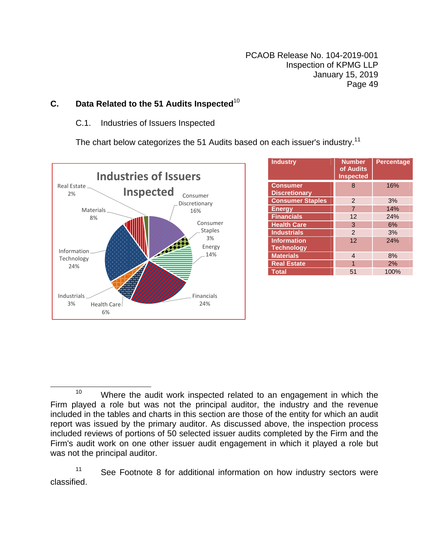# **C.** Data Related to the 51 Audits Inspected<sup>10</sup>

# C.1. Industries of Issuers Inspected

The chart below categorizes the 51 Audits based on each issuer's industry.<sup>11</sup>



| <b>Industry</b>                         | <b>Number</b><br>of Audits<br><b>Inspected</b> | <b>Percentage</b> |
|-----------------------------------------|------------------------------------------------|-------------------|
| <b>Consumer</b><br><b>Discretionary</b> | 8                                              | 16%               |
| <b>Consumer Staples</b>                 | $\mathcal{P}$                                  | 3%                |
| <b>Energy</b>                           | $\overline{7}$                                 | 14%               |
| <b>Financials</b>                       | 12                                             | 24%               |
| <b>Health Care</b>                      | 3                                              | 6%                |
| <b>Industrials</b>                      | $\mathcal{P}$                                  | 3%                |
| <b>Information</b><br><b>Technology</b> | 12                                             | 24%               |
| <b>Materials</b>                        | 4                                              | 8%                |
| <b>Real Estate</b>                      | 1                                              | 2%                |
| Total                                   | 51                                             | 100%              |

<sup>11</sup> See Footnote 8 for additional information on how industry sectors were classified.

 $10$  Where the audit work inspected related to an engagement in which the Firm played a role but was not the principal auditor, the industry and the revenue included in the tables and charts in this section are those of the entity for which an audit report was issued by the primary auditor. As discussed above, the inspection process included reviews of portions of 50 selected issuer audits completed by the Firm and the Firm's audit work on one other issuer audit engagement in which it played a role but was not the principal auditor.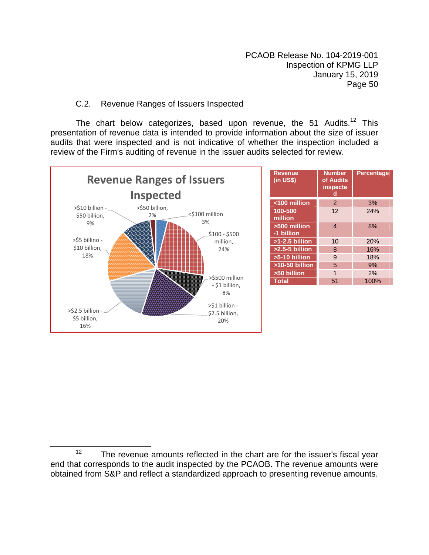# C.2. Revenue Ranges of Issuers Inspected

The chart below categorizes, based upon revenue, the 51 Audits.<sup>12</sup> This presentation of revenue data is intended to provide information about the size of issuer audits that were inspected and is not indicative of whether the inspection included a review of the Firm's auditing of revenue in the issuer audits selected for review.



| <b>Revenue</b><br>$(in US$)$ | <b>Number</b><br>of Audits<br>inspecte<br>d | <b>Percentage</b> |
|------------------------------|---------------------------------------------|-------------------|
| <100 million                 | 2                                           | 3%                |
| 100-500<br>million           | 12                                          | 24%               |
| >500 million<br>-1 billion   | $\overline{4}$                              | 8%                |
| $>1-2.5$ billion             | 10                                          | 20%               |
| $>2.5-5$ billion             | 8                                           | 16%               |
| $>5-10$ billion              | 9                                           | 18%               |
| $>10-50$ billion             | 5                                           | 9%                |
| >50 billion                  | 1                                           | 2%                |
| <b>Total</b>                 | 51                                          | 100%              |

 $12$  The revenue amounts reflected in the chart are for the issuer's fiscal year end that corresponds to the audit inspected by the PCAOB. The revenue amounts were obtained from S&P and reflect a standardized approach to presenting revenue amounts.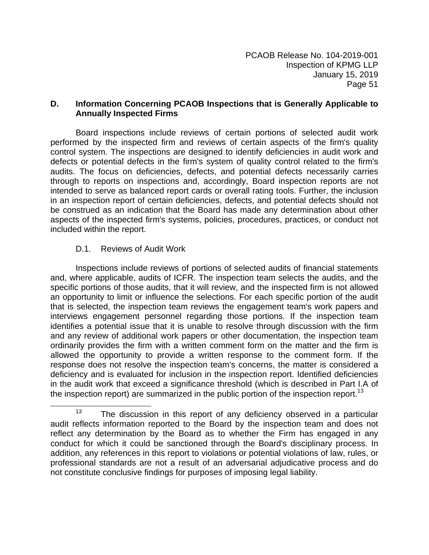#### **D. Information Concerning PCAOB Inspections that is Generally Applicable to Annually Inspected Firms**

Board inspections include reviews of certain portions of selected audit work performed by the inspected firm and reviews of certain aspects of the firm's quality control system. The inspections are designed to identify deficiencies in audit work and defects or potential defects in the firm's system of quality control related to the firm's audits. The focus on deficiencies, defects, and potential defects necessarily carries through to reports on inspections and, accordingly, Board inspection reports are not intended to serve as balanced report cards or overall rating tools. Further, the inclusion in an inspection report of certain deficiencies, defects, and potential defects should not be construed as an indication that the Board has made any determination about other aspects of the inspected firm's systems, policies, procedures, practices, or conduct not included within the report.

# D.1. Reviews of Audit Work

 $\overline{\phantom{a}}$ 

Inspections include reviews of portions of selected audits of financial statements and, where applicable, audits of ICFR. The inspection team selects the audits, and the specific portions of those audits, that it will review, and the inspected firm is not allowed an opportunity to limit or influence the selections. For each specific portion of the audit that is selected, the inspection team reviews the engagement team's work papers and interviews engagement personnel regarding those portions. If the inspection team identifies a potential issue that it is unable to resolve through discussion with the firm and any review of additional work papers or other documentation, the inspection team ordinarily provides the firm with a written comment form on the matter and the firm is allowed the opportunity to provide a written response to the comment form. If the response does not resolve the inspection team's concerns, the matter is considered a deficiency and is evaluated for inclusion in the inspection report. Identified deficiencies in the audit work that exceed a significance threshold (which is described in Part I.A of the inspection report) are summarized in the public portion of the inspection report.<sup>13</sup>

 $13$  The discussion in this report of any deficiency observed in a particular audit reflects information reported to the Board by the inspection team and does not reflect any determination by the Board as to whether the Firm has engaged in any conduct for which it could be sanctioned through the Board's disciplinary process. In addition, any references in this report to violations or potential violations of law, rules, or professional standards are not a result of an adversarial adjudicative process and do not constitute conclusive findings for purposes of imposing legal liability.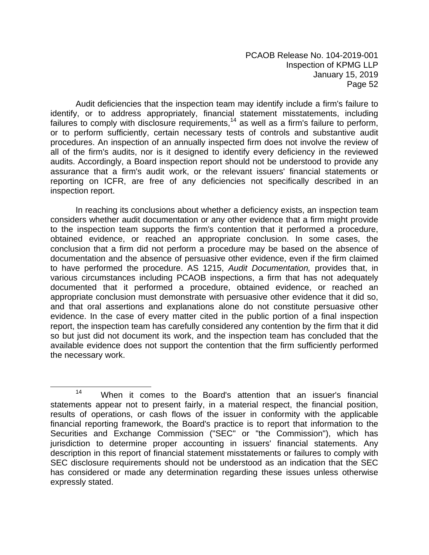Audit deficiencies that the inspection team may identify include a firm's failure to identify, or to address appropriately, financial statement misstatements, including failures to comply with disclosure requirements,<sup>14</sup> as well as a firm's failure to perform, or to perform sufficiently, certain necessary tests of controls and substantive audit procedures. An inspection of an annually inspected firm does not involve the review of all of the firm's audits, nor is it designed to identify every deficiency in the reviewed audits. Accordingly, a Board inspection report should not be understood to provide any assurance that a firm's audit work, or the relevant issuers' financial statements or reporting on ICFR, are free of any deficiencies not specifically described in an inspection report.

In reaching its conclusions about whether a deficiency exists, an inspection team considers whether audit documentation or any other evidence that a firm might provide to the inspection team supports the firm's contention that it performed a procedure, obtained evidence, or reached an appropriate conclusion. In some cases, the conclusion that a firm did not perform a procedure may be based on the absence of documentation and the absence of persuasive other evidence, even if the firm claimed to have performed the procedure. AS 1215, *Audit Documentation,* provides that, in various circumstances including PCAOB inspections, a firm that has not adequately documented that it performed a procedure, obtained evidence, or reached an appropriate conclusion must demonstrate with persuasive other evidence that it did so, and that oral assertions and explanations alone do not constitute persuasive other evidence. In the case of every matter cited in the public portion of a final inspection report, the inspection team has carefully considered any contention by the firm that it did so but just did not document its work, and the inspection team has concluded that the available evidence does not support the contention that the firm sufficiently performed the necessary work.

14 When it comes to the Board's attention that an issuer's financial statements appear not to present fairly, in a material respect, the financial position, results of operations, or cash flows of the issuer in conformity with the applicable financial reporting framework, the Board's practice is to report that information to the Securities and Exchange Commission ("SEC" or "the Commission"), which has jurisdiction to determine proper accounting in issuers' financial statements. Any description in this report of financial statement misstatements or failures to comply with SEC disclosure requirements should not be understood as an indication that the SEC has considered or made any determination regarding these issues unless otherwise expressly stated.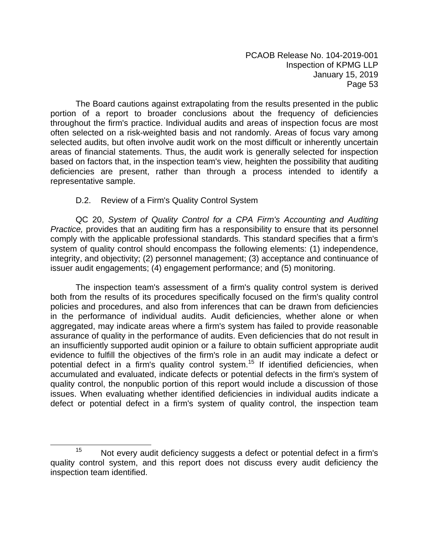The Board cautions against extrapolating from the results presented in the public portion of a report to broader conclusions about the frequency of deficiencies throughout the firm's practice. Individual audits and areas of inspection focus are most often selected on a risk-weighted basis and not randomly. Areas of focus vary among selected audits, but often involve audit work on the most difficult or inherently uncertain areas of financial statements. Thus, the audit work is generally selected for inspection based on factors that, in the inspection team's view, heighten the possibility that auditing deficiencies are present, rather than through a process intended to identify a representative sample.

# D.2. Review of a Firm's Quality Control System

QC 20, *System of Quality Control for a CPA Firm's Accounting and Auditing Practice,* provides that an auditing firm has a responsibility to ensure that its personnel comply with the applicable professional standards. This standard specifies that a firm's system of quality control should encompass the following elements: (1) independence, integrity, and objectivity; (2) personnel management; (3) acceptance and continuance of issuer audit engagements; (4) engagement performance; and (5) monitoring.

The inspection team's assessment of a firm's quality control system is derived both from the results of its procedures specifically focused on the firm's quality control policies and procedures, and also from inferences that can be drawn from deficiencies in the performance of individual audits. Audit deficiencies, whether alone or when aggregated, may indicate areas where a firm's system has failed to provide reasonable assurance of quality in the performance of audits. Even deficiencies that do not result in an insufficiently supported audit opinion or a failure to obtain sufficient appropriate audit evidence to fulfill the objectives of the firm's role in an audit may indicate a defect or potential defect in a firm's quality control system.<sup>15</sup> If identified deficiencies, when accumulated and evaluated, indicate defects or potential defects in the firm's system of quality control, the nonpublic portion of this report would include a discussion of those issues. When evaluating whether identified deficiencies in individual audits indicate a defect or potential defect in a firm's system of quality control, the inspection team

 $15$  Not every audit deficiency suggests a defect or potential defect in a firm's quality control system, and this report does not discuss every audit deficiency the inspection team identified.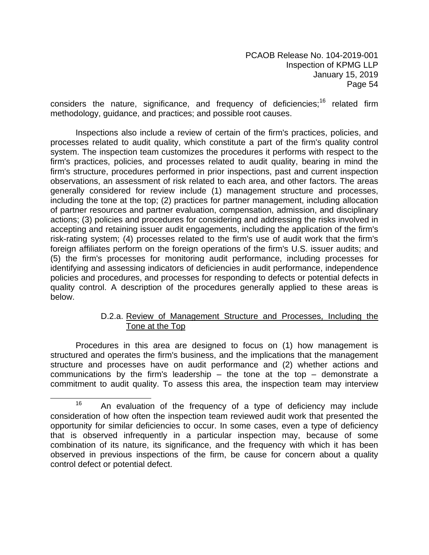considers the nature, significance, and frequency of deficiencies;<sup>16</sup> related firm methodology, guidance, and practices; and possible root causes.

Inspections also include a review of certain of the firm's practices, policies, and processes related to audit quality, which constitute a part of the firm's quality control system. The inspection team customizes the procedures it performs with respect to the firm's practices, policies, and processes related to audit quality, bearing in mind the firm's structure, procedures performed in prior inspections, past and current inspection observations, an assessment of risk related to each area, and other factors. The areas generally considered for review include (1) management structure and processes, including the tone at the top; (2) practices for partner management, including allocation of partner resources and partner evaluation, compensation, admission, and disciplinary actions; (3) policies and procedures for considering and addressing the risks involved in accepting and retaining issuer audit engagements, including the application of the firm's risk-rating system; (4) processes related to the firm's use of audit work that the firm's foreign affiliates perform on the foreign operations of the firm's U.S. issuer audits; and (5) the firm's processes for monitoring audit performance, including processes for identifying and assessing indicators of deficiencies in audit performance, independence policies and procedures, and processes for responding to defects or potential defects in quality control. A description of the procedures generally applied to these areas is below.

# D.2.a. Review of Management Structure and Processes, Including the Tone at the Top

Procedures in this area are designed to focus on (1) how management is structured and operates the firm's business, and the implications that the management structure and processes have on audit performance and (2) whether actions and communications by the firm's leadership  $-$  the tone at the top  $-$  demonstrate a commitment to audit quality. To assess this area, the inspection team may interview

 $16$  An evaluation of the frequency of a type of deficiency may include consideration of how often the inspection team reviewed audit work that presented the opportunity for similar deficiencies to occur. In some cases, even a type of deficiency that is observed infrequently in a particular inspection may, because of some combination of its nature, its significance, and the frequency with which it has been observed in previous inspections of the firm, be cause for concern about a quality control defect or potential defect.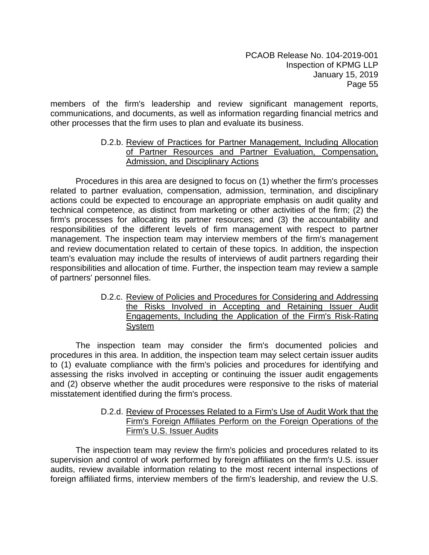members of the firm's leadership and review significant management reports, communications, and documents, as well as information regarding financial metrics and other processes that the firm uses to plan and evaluate its business.

# D.2.b. Review of Practices for Partner Management, Including Allocation of Partner Resources and Partner Evaluation, Compensation, Admission, and Disciplinary Actions

Procedures in this area are designed to focus on (1) whether the firm's processes related to partner evaluation, compensation, admission, termination, and disciplinary actions could be expected to encourage an appropriate emphasis on audit quality and technical competence, as distinct from marketing or other activities of the firm; (2) the firm's processes for allocating its partner resources; and (3) the accountability and responsibilities of the different levels of firm management with respect to partner management. The inspection team may interview members of the firm's management and review documentation related to certain of these topics. In addition, the inspection team's evaluation may include the results of interviews of audit partners regarding their responsibilities and allocation of time. Further, the inspection team may review a sample of partners' personnel files.

> D.2.c. Review of Policies and Procedures for Considering and Addressing the Risks Involved in Accepting and Retaining Issuer Audit Engagements, Including the Application of the Firm's Risk-Rating System

The inspection team may consider the firm's documented policies and procedures in this area. In addition, the inspection team may select certain issuer audits to (1) evaluate compliance with the firm's policies and procedures for identifying and assessing the risks involved in accepting or continuing the issuer audit engagements and (2) observe whether the audit procedures were responsive to the risks of material misstatement identified during the firm's process.

#### D.2.d. Review of Processes Related to a Firm's Use of Audit Work that the Firm's Foreign Affiliates Perform on the Foreign Operations of the Firm's U.S. Issuer Audits

The inspection team may review the firm's policies and procedures related to its supervision and control of work performed by foreign affiliates on the firm's U.S. issuer audits, review available information relating to the most recent internal inspections of foreign affiliated firms, interview members of the firm's leadership, and review the U.S.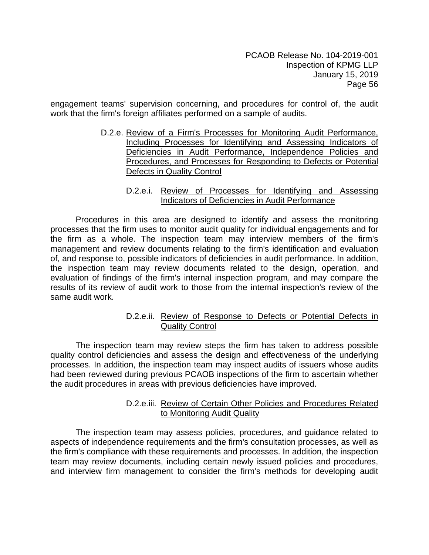engagement teams' supervision concerning, and procedures for control of, the audit work that the firm's foreign affiliates performed on a sample of audits.

- D.2.e. Review of a Firm's Processes for Monitoring Audit Performance, Including Processes for Identifying and Assessing Indicators of Deficiencies in Audit Performance, Independence Policies and Procedures, and Processes for Responding to Defects or Potential Defects in Quality Control
	- D.2.e.i. Review of Processes for Identifying and Assessing Indicators of Deficiencies in Audit Performance

Procedures in this area are designed to identify and assess the monitoring processes that the firm uses to monitor audit quality for individual engagements and for the firm as a whole. The inspection team may interview members of the firm's management and review documents relating to the firm's identification and evaluation of, and response to, possible indicators of deficiencies in audit performance. In addition, the inspection team may review documents related to the design, operation, and evaluation of findings of the firm's internal inspection program, and may compare the results of its review of audit work to those from the internal inspection's review of the same audit work.

#### D.2.e.ii. Review of Response to Defects or Potential Defects in **Quality Control**

The inspection team may review steps the firm has taken to address possible quality control deficiencies and assess the design and effectiveness of the underlying processes. In addition, the inspection team may inspect audits of issuers whose audits had been reviewed during previous PCAOB inspections of the firm to ascertain whether the audit procedures in areas with previous deficiencies have improved.

#### D.2.e.iii. Review of Certain Other Policies and Procedures Related to Monitoring Audit Quality

The inspection team may assess policies, procedures, and guidance related to aspects of independence requirements and the firm's consultation processes, as well as the firm's compliance with these requirements and processes. In addition, the inspection team may review documents, including certain newly issued policies and procedures, and interview firm management to consider the firm's methods for developing audit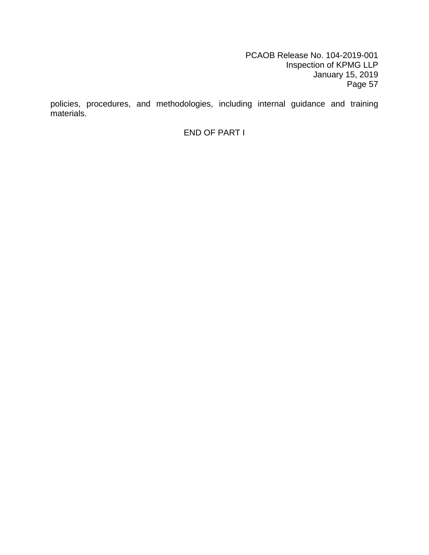policies, procedures, and methodologies, including internal guidance and training materials.

END OF PART I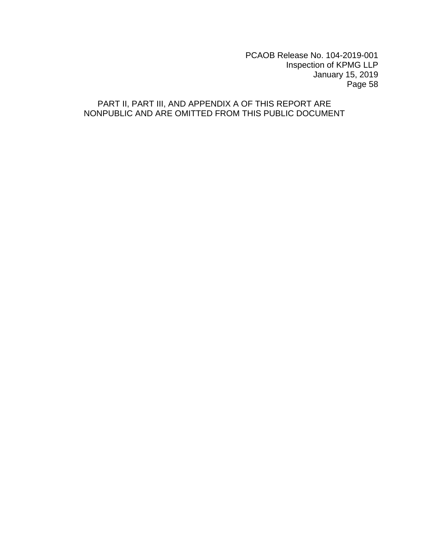# PART II, PART III, AND APPENDIX A OF THIS REPORT ARE NONPUBLIC AND ARE OMITTED FROM THIS PUBLIC DOCUMENT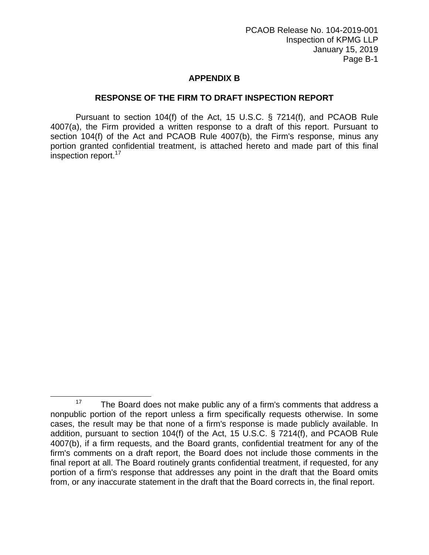# **APPENDIX B**

#### **RESPONSE OF THE FIRM TO DRAFT INSPECTION REPORT**

Pursuant to section 104(f) of the Act, 15 U.S.C. § 7214(f), and PCAOB Rule 4007(a), the Firm provided a written response to a draft of this report. Pursuant to section 104(f) of the Act and PCAOB Rule 4007(b), the Firm's response, minus any portion granted confidential treatment, is attached hereto and made part of this final inspection report.<sup>17</sup>

 $\overline{\phantom{a}}$ 

<sup>&</sup>lt;sup>17</sup> The Board does not make public any of a firm's comments that address a nonpublic portion of the report unless a firm specifically requests otherwise. In some cases, the result may be that none of a firm's response is made publicly available. In addition, pursuant to section 104(f) of the Act, 15 U.S.C. § 7214(f), and PCAOB Rule 4007(b), if a firm requests, and the Board grants, confidential treatment for any of the firm's comments on a draft report, the Board does not include those comments in the final report at all. The Board routinely grants confidential treatment, if requested, for any portion of a firm's response that addresses any point in the draft that the Board omits from, or any inaccurate statement in the draft that the Board corrects in, the final report.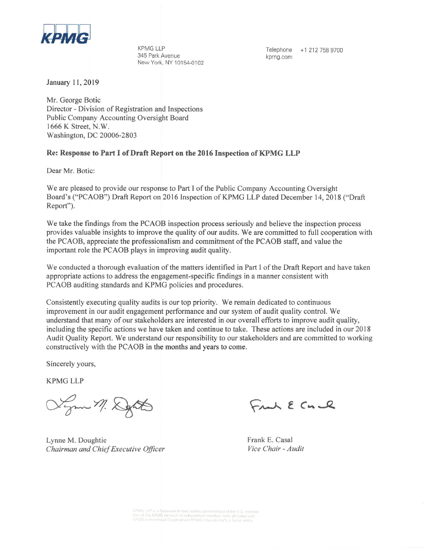

**KPMG LLP** 345 Park Avenue New York, NY 10154-0102

Telephone +1 212 758 9700 kpmg.com

January 11, 2019

Mr. George Botic Director - Division of Registration and Inspections Public Company Accounting Oversight Board 1666 K Street, N.W. Washington, DC 20006-2803

#### Re: Response to Part I of Draft Report on the 2016 Inspection of KPMG LLP

Dear Mr. Botic:

We are pleased to provide our response to Part I of the Public Company Accounting Oversight Board's ("PCAOB") Draft Report on 2016 Inspection of KPMG LLP dated December 14, 2018 ("Draft Report").

We take the findings from the PCAOB inspection process seriously and believe the inspection process provides valuable insights to improve the quality of our audits. We are committed to full cooperation with the PCAOB, appreciate the professionalism and commitment of the PCAOB staff, and value the important role the PCAOB plays in improving audit quality.

We conducted a thorough evaluation of the matters identified in Part I of the Draft Report and have taken appropriate actions to address the engagement-specific findings in a manner consistent with PCAOB auditing standards and KPMG policies and procedures.

Consistently executing quality audits is our top priority. We remain dedicated to continuous improvement in our audit engagement performance and our system of audit quality control. We understand that many of our stakeholders are interested in our overall efforts to improve audit quality, including the specific actions we have taken and continue to take. These actions are included in our 2018 Audit Quality Report. We understand our responsibility to our stakeholders and are committed to working constructively with the PCAOB in the months and years to come.

Sincerely yours,

**KPMG LLP** 

Sym M. Depth

Lynne M. Doughtie Chairman and Chief Executive Officer

Frank E Cn &

Frank E. Casal Vice Chair - Audit

KPMG LLP is a Delaware limited liability partnership and the U.S. membe<br>firm of the KPMG network of independent member firms affiliated with<br>KPMG International Cooperative ("KPMG International"), a Swiss entity.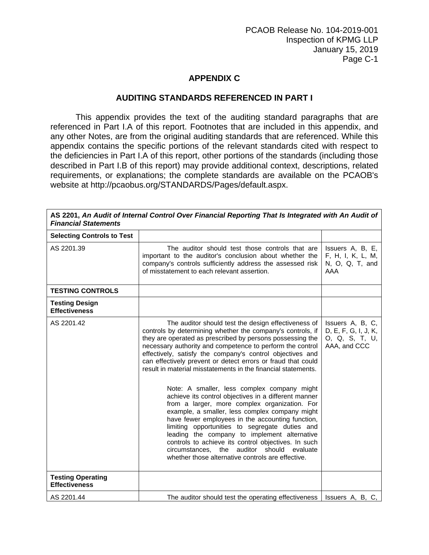# **APPENDIX C**

#### **AUDITING STANDARDS REFERENCED IN PART I**

This appendix provides the text of the auditing standard paragraphs that are referenced in Part I.A of this report. Footnotes that are included in this appendix, and any other Notes, are from the original auditing standards that are referenced. While this appendix contains the specific portions of the relevant standards cited with respect to the deficiencies in Part I.A of this report, other portions of the standards (including those described in Part I.B of this report) may provide additional context, descriptions, related requirements, or explanations; the complete standards are available on the PCAOB's website at http://pcaobus.org/STANDARDS/Pages/default.aspx.

| <b>Financial Statements</b>                      | AS 2201, An Audit of Internal Control Over Financial Reporting That Is Integrated with An Audit of                                                                                                                                                                                                                                                                                                                                                                                                                                                                                                                                                                                                                                                                                                                                                                                                                                                                  |                                                                            |
|--------------------------------------------------|---------------------------------------------------------------------------------------------------------------------------------------------------------------------------------------------------------------------------------------------------------------------------------------------------------------------------------------------------------------------------------------------------------------------------------------------------------------------------------------------------------------------------------------------------------------------------------------------------------------------------------------------------------------------------------------------------------------------------------------------------------------------------------------------------------------------------------------------------------------------------------------------------------------------------------------------------------------------|----------------------------------------------------------------------------|
| <b>Selecting Controls to Test</b>                |                                                                                                                                                                                                                                                                                                                                                                                                                                                                                                                                                                                                                                                                                                                                                                                                                                                                                                                                                                     |                                                                            |
| AS 2201.39                                       | The auditor should test those controls that are<br>important to the auditor's conclusion about whether the<br>company's controls sufficiently address the assessed risk<br>of misstatement to each relevant assertion.                                                                                                                                                                                                                                                                                                                                                                                                                                                                                                                                                                                                                                                                                                                                              | Issuers A, B, E,<br>F, H, I, K, L, M,<br>N, O, Q, T, and<br>AAA            |
| <b>TESTING CONTROLS</b>                          |                                                                                                                                                                                                                                                                                                                                                                                                                                                                                                                                                                                                                                                                                                                                                                                                                                                                                                                                                                     |                                                                            |
| <b>Testing Design</b><br><b>Effectiveness</b>    |                                                                                                                                                                                                                                                                                                                                                                                                                                                                                                                                                                                                                                                                                                                                                                                                                                                                                                                                                                     |                                                                            |
| AS 2201.42                                       | The auditor should test the design effectiveness of<br>controls by determining whether the company's controls, if<br>they are operated as prescribed by persons possessing the<br>necessary authority and competence to perform the control<br>effectively, satisfy the company's control objectives and<br>can effectively prevent or detect errors or fraud that could<br>result in material misstatements in the financial statements.<br>Note: A smaller, less complex company might<br>achieve its control objectives in a different manner<br>from a larger, more complex organization. For<br>example, a smaller, less complex company might<br>have fewer employees in the accounting function,<br>limiting opportunities to segregate duties and<br>leading the company to implement alternative<br>controls to achieve its control objectives. In such<br>circumstances, the auditor should evaluate<br>whether those alternative controls are effective. | Issuers A, B, C,<br>D, E, F, G, I, J, K,<br>O, Q, S, T, U,<br>AAA, and CCC |
| <b>Testing Operating</b><br><b>Effectiveness</b> |                                                                                                                                                                                                                                                                                                                                                                                                                                                                                                                                                                                                                                                                                                                                                                                                                                                                                                                                                                     |                                                                            |
| AS 2201.44                                       | The auditor should test the operating effectiveness                                                                                                                                                                                                                                                                                                                                                                                                                                                                                                                                                                                                                                                                                                                                                                                                                                                                                                                 | Issuers A, B, C,                                                           |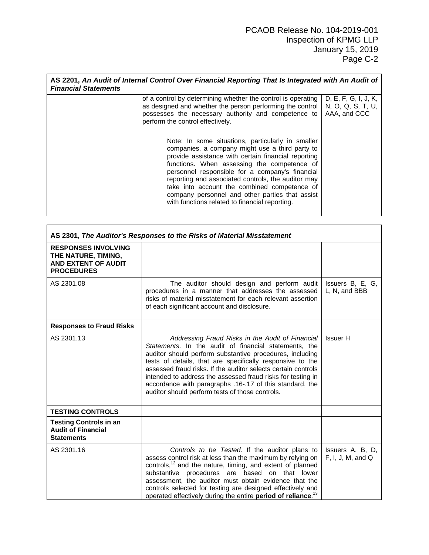| <b>Financial Statements</b> | AS 2201, An Audit of Internal Control Over Financial Reporting That Is Integrated with An Audit of                                                                                                                                                                                                                                                                                                                                                                       |                                                           |
|-----------------------------|--------------------------------------------------------------------------------------------------------------------------------------------------------------------------------------------------------------------------------------------------------------------------------------------------------------------------------------------------------------------------------------------------------------------------------------------------------------------------|-----------------------------------------------------------|
|                             | of a control by determining whether the control is operating<br>as designed and whether the person performing the control  <br>possesses the necessary authority and competence to<br>perform the control effectively.                                                                                                                                                                                                                                                   | D, E, F, G, I, J, K,<br>N, O, Q, S, T, U,<br>AAA, and CCC |
|                             | Note: In some situations, particularly in smaller<br>companies, a company might use a third party to<br>provide assistance with certain financial reporting<br>functions. When assessing the competence of<br>personnel responsible for a company's financial<br>reporting and associated controls, the auditor may<br>take into account the combined competence of<br>company personnel and other parties that assist<br>with functions related to financial reporting. |                                                           |

|                                                                                               | AS 2301, The Auditor's Responses to the Risks of Material Misstatement                                                                                                                                                                                                                                                                                                                                                                                                            |                                       |
|-----------------------------------------------------------------------------------------------|-----------------------------------------------------------------------------------------------------------------------------------------------------------------------------------------------------------------------------------------------------------------------------------------------------------------------------------------------------------------------------------------------------------------------------------------------------------------------------------|---------------------------------------|
| <b>RESPONSES INVOLVING</b><br>THE NATURE, TIMING,<br>AND EXTENT OF AUDIT<br><b>PROCEDURES</b> |                                                                                                                                                                                                                                                                                                                                                                                                                                                                                   |                                       |
| AS 2301.08                                                                                    | The auditor should design and perform audit<br>procedures in a manner that addresses the assessed<br>risks of material misstatement for each relevant assertion<br>of each significant account and disclosure.                                                                                                                                                                                                                                                                    | Issuers B, E, G,<br>L, N, and BBB     |
| <b>Responses to Fraud Risks</b>                                                               |                                                                                                                                                                                                                                                                                                                                                                                                                                                                                   |                                       |
| AS 2301.13                                                                                    | Addressing Fraud Risks in the Audit of Financial<br>Statements. In the audit of financial statements, the<br>auditor should perform substantive procedures, including<br>tests of details, that are specifically responsive to the<br>assessed fraud risks. If the auditor selects certain controls<br>intended to address the assessed fraud risks for testing in<br>accordance with paragraphs .16-.17 of this standard, the<br>auditor should perform tests of those controls. | Issuer H                              |
| <b>TESTING CONTROLS</b>                                                                       |                                                                                                                                                                                                                                                                                                                                                                                                                                                                                   |                                       |
| <b>Testing Controls in an</b><br><b>Audit of Financial</b><br><b>Statements</b>               |                                                                                                                                                                                                                                                                                                                                                                                                                                                                                   |                                       |
| AS 2301.16                                                                                    | Controls to be Tested. If the auditor plans to<br>assess control risk at less than the maximum by relying on<br>controls, <sup>12</sup> and the nature, timing, and extent of planned<br>substantive procedures are based on that lower<br>assessment, the auditor must obtain evidence that the<br>controls selected for testing are designed effectively and<br>operated effectively during the entire period of reliance. <sup>13</sup>                                        | Issuers A, B, D,<br>F, I, J, M, and Q |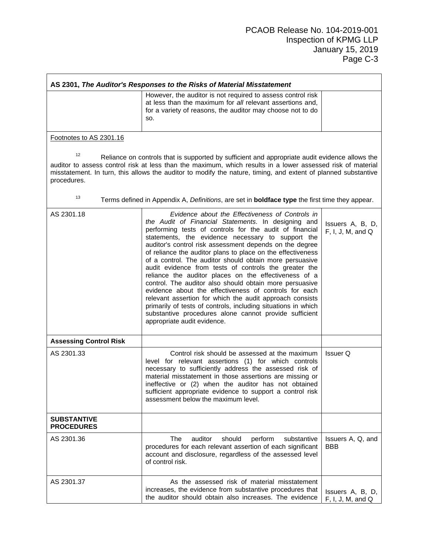|                                         | AS 2301, The Auditor's Responses to the Risks of Material Misstatement                                                                                                                                                                                                                                                                                                                                                                                                                                                                                                                                                                                                                                                                                                                                                                                                  |                                       |
|-----------------------------------------|-------------------------------------------------------------------------------------------------------------------------------------------------------------------------------------------------------------------------------------------------------------------------------------------------------------------------------------------------------------------------------------------------------------------------------------------------------------------------------------------------------------------------------------------------------------------------------------------------------------------------------------------------------------------------------------------------------------------------------------------------------------------------------------------------------------------------------------------------------------------------|---------------------------------------|
|                                         | However, the auditor is not required to assess control risk<br>at less than the maximum for all relevant assertions and,<br>for a variety of reasons, the auditor may choose not to do<br>SO.                                                                                                                                                                                                                                                                                                                                                                                                                                                                                                                                                                                                                                                                           |                                       |
| Footnotes to AS 2301.16                 |                                                                                                                                                                                                                                                                                                                                                                                                                                                                                                                                                                                                                                                                                                                                                                                                                                                                         |                                       |
| 12<br>procedures.                       | Reliance on controls that is supported by sufficient and appropriate audit evidence allows the<br>auditor to assess control risk at less than the maximum, which results in a lower assessed risk of material<br>misstatement. In turn, this allows the auditor to modify the nature, timing, and extent of planned substantive                                                                                                                                                                                                                                                                                                                                                                                                                                                                                                                                         |                                       |
| 13                                      | Terms defined in Appendix A, Definitions, are set in <b>boldface type</b> the first time they appear.                                                                                                                                                                                                                                                                                                                                                                                                                                                                                                                                                                                                                                                                                                                                                                   |                                       |
| AS 2301.18                              | Evidence about the Effectiveness of Controls in<br>the Audit of Financial Statements. In designing and<br>performing tests of controls for the audit of financial<br>statements, the evidence necessary to support the<br>auditor's control risk assessment depends on the degree<br>of reliance the auditor plans to place on the effectiveness<br>of a control. The auditor should obtain more persuasive<br>audit evidence from tests of controls the greater the<br>reliance the auditor places on the effectiveness of a<br>control. The auditor also should obtain more persuasive<br>evidence about the effectiveness of controls for each<br>relevant assertion for which the audit approach consists<br>primarily of tests of controls, including situations in which<br>substantive procedures alone cannot provide sufficient<br>appropriate audit evidence. | Issuers A, B, D,<br>F, I, J, M, and Q |
| <b>Assessing Control Risk</b>           |                                                                                                                                                                                                                                                                                                                                                                                                                                                                                                                                                                                                                                                                                                                                                                                                                                                                         |                                       |
| AS 2301.33                              | Control risk should be assessed at the maximum<br>level for relevant assertions (1) for which controls<br>necessary to sufficiently address the assessed risk of<br>material misstatement in those assertions are missing or<br>ineffective or (2) when the auditor has not obtained<br>sufficient appropriate evidence to support a control risk<br>assessment below the maximum level.                                                                                                                                                                                                                                                                                                                                                                                                                                                                                | Issuer Q                              |
| <b>SUBSTANTIVE</b><br><b>PROCEDURES</b> |                                                                                                                                                                                                                                                                                                                                                                                                                                                                                                                                                                                                                                                                                                                                                                                                                                                                         |                                       |
| AS 2301.36                              | auditor<br>The<br>should<br>perform<br>substantive<br>procedures for each relevant assertion of each significant<br>account and disclosure, regardless of the assessed level<br>of control risk.                                                                                                                                                                                                                                                                                                                                                                                                                                                                                                                                                                                                                                                                        | Issuers A, Q, and<br>BBB              |
| AS 2301.37                              | As the assessed risk of material misstatement<br>increases, the evidence from substantive procedures that<br>the auditor should obtain also increases. The evidence                                                                                                                                                                                                                                                                                                                                                                                                                                                                                                                                                                                                                                                                                                     | Issuers A, B, D,<br>F, I, J, M, and Q |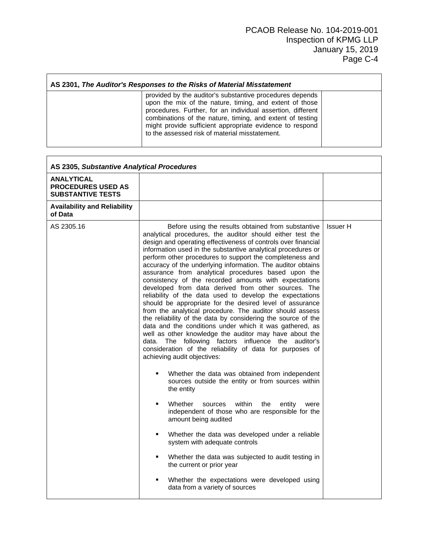#### **AS 2301,** *The Auditor's Responses to the Risks of Material Misstatement*

provided by the auditor's substantive procedures depends upon the mix of the nature, timing, and extent of those procedures. Further, for an individual assertion, different combinations of the nature, timing, and extent of testing might provide sufficient appropriate evidence to respond to the assessed risk of material misstatement.

| <b>ANALYTICAL</b><br><b>PROCEDURES USED AS</b><br><b>SUBSTANTIVE TESTS</b>                                                                                                                                              |                                                                                                                                                                                                                                                                                                                                                                                                                                                                                                                                                                                                                                                                                                                                                                                                                                                                                                                                                                                                                                                                                                                                                                                                                                                                                                                                                                                                        |                 |
|-------------------------------------------------------------------------------------------------------------------------------------------------------------------------------------------------------------------------|--------------------------------------------------------------------------------------------------------------------------------------------------------------------------------------------------------------------------------------------------------------------------------------------------------------------------------------------------------------------------------------------------------------------------------------------------------------------------------------------------------------------------------------------------------------------------------------------------------------------------------------------------------------------------------------------------------------------------------------------------------------------------------------------------------------------------------------------------------------------------------------------------------------------------------------------------------------------------------------------------------------------------------------------------------------------------------------------------------------------------------------------------------------------------------------------------------------------------------------------------------------------------------------------------------------------------------------------------------------------------------------------------------|-----------------|
|                                                                                                                                                                                                                         |                                                                                                                                                                                                                                                                                                                                                                                                                                                                                                                                                                                                                                                                                                                                                                                                                                                                                                                                                                                                                                                                                                                                                                                                                                                                                                                                                                                                        |                 |
| <b>Availability and Reliability</b><br>of Data                                                                                                                                                                          |                                                                                                                                                                                                                                                                                                                                                                                                                                                                                                                                                                                                                                                                                                                                                                                                                                                                                                                                                                                                                                                                                                                                                                                                                                                                                                                                                                                                        |                 |
| AS 2305.16<br>achieving audit objectives:<br>the entity<br>Whether<br>$\blacksquare$<br>sources<br>amount being audited<br>system with adequate controls<br>the current or prior year<br>data from a variety of sources | Before using the results obtained from substantive<br>analytical procedures, the auditor should either test the<br>design and operating effectiveness of controls over financial<br>information used in the substantive analytical procedures or<br>perform other procedures to support the completeness and<br>accuracy of the underlying information. The auditor obtains<br>assurance from analytical procedures based upon the<br>consistency of the recorded amounts with expectations<br>developed from data derived from other sources. The<br>reliability of the data used to develop the expectations<br>should be appropriate for the desired level of assurance<br>from the analytical procedure. The auditor should assess<br>the reliability of the data by considering the source of the<br>data and the conditions under which it was gathered, as<br>well as other knowledge the auditor may have about the<br>data. The following factors influence the auditor's<br>consideration of the reliability of data for purposes of<br>Whether the data was obtained from independent<br>sources outside the entity or from sources within<br>within<br>the<br>entity<br>were<br>independent of those who are responsible for the<br>Whether the data was developed under a reliable<br>Whether the data was subjected to audit testing in<br>Whether the expectations were developed using | <b>Issuer H</b> |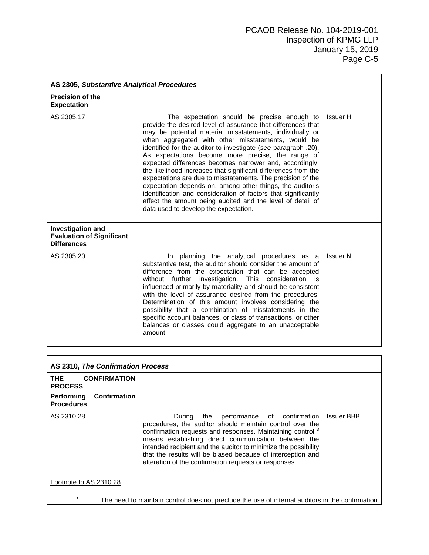| AS 2305, Substantive Analytical Procedures                                  |                                                                                                                                                                                                                                                                                                                                                                                                                                                                                                                                                                                                                                                                                                                                                                                        |                 |  |
|-----------------------------------------------------------------------------|----------------------------------------------------------------------------------------------------------------------------------------------------------------------------------------------------------------------------------------------------------------------------------------------------------------------------------------------------------------------------------------------------------------------------------------------------------------------------------------------------------------------------------------------------------------------------------------------------------------------------------------------------------------------------------------------------------------------------------------------------------------------------------------|-----------------|--|
| <b>Precision of the</b><br><b>Expectation</b>                               |                                                                                                                                                                                                                                                                                                                                                                                                                                                                                                                                                                                                                                                                                                                                                                                        |                 |  |
| AS 2305.17                                                                  | The expectation should be precise enough to<br>provide the desired level of assurance that differences that<br>may be potential material misstatements, individually or<br>when aggregated with other misstatements, would be<br>identified for the auditor to investigate (see paragraph .20).<br>As expectations become more precise, the range of<br>expected differences becomes narrower and, accordingly,<br>the likelihood increases that significant differences from the<br>expectations are due to misstatements. The precision of the<br>expectation depends on, among other things, the auditor's<br>identification and consideration of factors that significantly<br>affect the amount being audited and the level of detail of<br>data used to develop the expectation. | Issuer H        |  |
| Investigation and<br><b>Evaluation of Significant</b><br><b>Differences</b> |                                                                                                                                                                                                                                                                                                                                                                                                                                                                                                                                                                                                                                                                                                                                                                                        |                 |  |
| AS 2305.20                                                                  | In planning the analytical procedures as a<br>substantive test, the auditor should consider the amount of<br>difference from the expectation that can be accepted<br>without further<br>investigation.<br>This consideration<br>is<br>influenced primarily by materiality and should be consistent<br>with the level of assurance desired from the procedures.<br>Determination of this amount involves considering the<br>possibility that a combination of misstatements in the<br>specific account balances, or class of transactions, or other<br>balances or classes could aggregate to an unacceptable<br>amount.                                                                                                                                                                | <b>Issuer N</b> |  |

| AS 2310, The Confirmation Process                      |                                                                                                                                                                                                                                                                                                                                                                                                                                 |                   |  |
|--------------------------------------------------------|---------------------------------------------------------------------------------------------------------------------------------------------------------------------------------------------------------------------------------------------------------------------------------------------------------------------------------------------------------------------------------------------------------------------------------|-------------------|--|
| <b>CONFIRMATION</b><br><b>THE</b><br><b>PROCESS</b>    |                                                                                                                                                                                                                                                                                                                                                                                                                                 |                   |  |
| <b>Confirmation</b><br>Performing<br><b>Procedures</b> |                                                                                                                                                                                                                                                                                                                                                                                                                                 |                   |  |
| AS 2310.28                                             | the performance of confirmation<br>During<br>procedures, the auditor should maintain control over the<br>confirmation requests and responses. Maintaining control <sup>3</sup><br>means establishing direct communication between the<br>intended recipient and the auditor to minimize the possibility<br>that the results will be biased because of interception and<br>alteration of the confirmation requests or responses. | <b>Issuer BBB</b> |  |
| Footnote to AS 2310.28                                 |                                                                                                                                                                                                                                                                                                                                                                                                                                 |                   |  |
| 3                                                      | The need to maintain control does not preclude the use of internal auditors in the confirmation                                                                                                                                                                                                                                                                                                                                 |                   |  |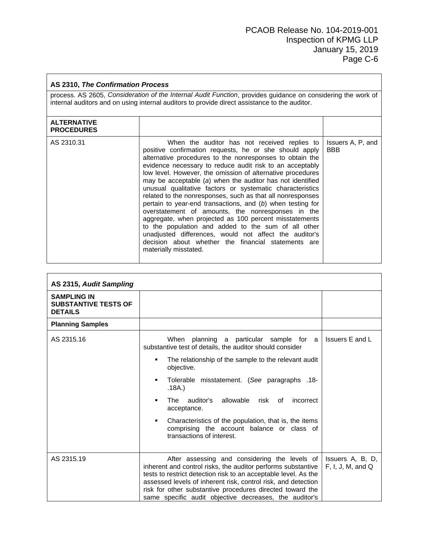#### **AS 2310,** *The Confirmation Process* process. AS 2605, *Consideration of the Internal Audit Function*, provides guidance on considering the work of internal auditors and on using internal auditors to provide direct assistance to the auditor. **ALTERNATIVE PROCEDURES** AS 2310.31 When the auditor has not received replies to positive confirmation requests, he or she should apply alternative procedures to the nonresponses to obtain the evidence necessary to reduce audit risk to an acceptably low level. However, the omission of alternative procedures may be acceptable (*a*) when the auditor has not identified unusual qualitative factors or systematic characteristics related to the nonresponses, such as that all nonresponses pertain to year-end transactions, and (*b*) when testing for overstatement of amounts, the nonresponses in the aggregate, when projected as 100 percent misstatements to the population and added to the sum of all other unadjusted differences, would not affect the auditor's decision about whether the financial statements are materially misstated. Issuers A, P, and BBB

| AS 2315, Audit Sampling                                             |                                                                                                                                                                                                                                                                                                                                                                                                                                                                            |                                       |
|---------------------------------------------------------------------|----------------------------------------------------------------------------------------------------------------------------------------------------------------------------------------------------------------------------------------------------------------------------------------------------------------------------------------------------------------------------------------------------------------------------------------------------------------------------|---------------------------------------|
| <b>SAMPLING IN</b><br><b>SUBSTANTIVE TESTS OF</b><br><b>DETAILS</b> |                                                                                                                                                                                                                                                                                                                                                                                                                                                                            |                                       |
| <b>Planning Samples</b>                                             |                                                                                                                                                                                                                                                                                                                                                                                                                                                                            |                                       |
| AS 2315.16                                                          | When planning a particular sample for a<br>substantive test of details, the auditor should consider<br>The relationship of the sample to the relevant audit<br>٠<br>objective.<br>Tolerable misstatement. (See paragraphs .18-<br>٠<br>.18A.)<br>auditor's allowable risk of<br>The<br>incorrect<br>٠<br>acceptance.<br>Characteristics of the population, that is, the items<br>$\blacksquare$<br>comprising the account balance or class of<br>transactions of interest. | Issuers E and L                       |
| AS 2315.19                                                          | After assessing and considering the levels of<br>inherent and control risks, the auditor performs substantive<br>tests to restrict detection risk to an acceptable level. As the<br>assessed levels of inherent risk, control risk, and detection<br>risk for other substantive procedures directed toward the<br>same specific audit objective decreases, the auditor's                                                                                                   | Issuers A, B, D,<br>F, I, J, M, and Q |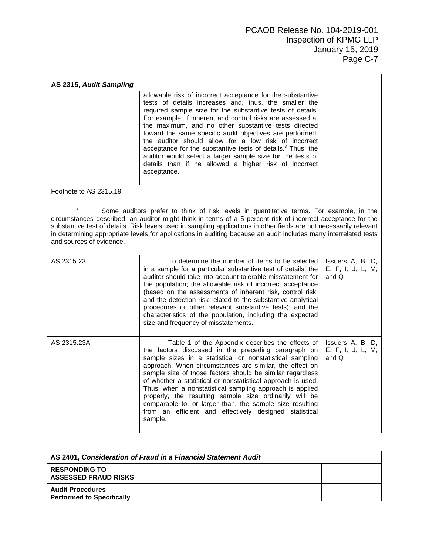| AS 2315, Audit Sampling                                                                                                                                                                                                                                                                                                                                                                                                                                                             |                                                                                                                                                                                                                                                                                                                                                                                                                                                                                                                                                                                                                                              |                                                |  |
|-------------------------------------------------------------------------------------------------------------------------------------------------------------------------------------------------------------------------------------------------------------------------------------------------------------------------------------------------------------------------------------------------------------------------------------------------------------------------------------|----------------------------------------------------------------------------------------------------------------------------------------------------------------------------------------------------------------------------------------------------------------------------------------------------------------------------------------------------------------------------------------------------------------------------------------------------------------------------------------------------------------------------------------------------------------------------------------------------------------------------------------------|------------------------------------------------|--|
|                                                                                                                                                                                                                                                                                                                                                                                                                                                                                     | allowable risk of incorrect acceptance for the substantive<br>tests of details increases and, thus, the smaller the<br>required sample size for the substantive tests of details.<br>For example, if inherent and control risks are assessed at<br>the maximum, and no other substantive tests directed<br>toward the same specific audit objectives are performed,<br>the auditor should allow for a low risk of incorrect<br>acceptance for the substantive tests of details. <sup>3</sup> Thus, the<br>auditor would select a larger sample size for the tests of<br>details than if he allowed a higher risk of incorrect<br>acceptance. |                                                |  |
| Footnote to AS 2315.19                                                                                                                                                                                                                                                                                                                                                                                                                                                              |                                                                                                                                                                                                                                                                                                                                                                                                                                                                                                                                                                                                                                              |                                                |  |
| 3<br>Some auditors prefer to think of risk levels in quantitative terms. For example, in the<br>circumstances described, an auditor might think in terms of a 5 percent risk of incorrect acceptance for the<br>substantive test of details. Risk levels used in sampling applications in other fields are not necessarily relevant<br>in determining appropriate levels for applications in auditing because an audit includes many interrelated tests<br>and sources of evidence. |                                                                                                                                                                                                                                                                                                                                                                                                                                                                                                                                                                                                                                              |                                                |  |
| AS 2315.23                                                                                                                                                                                                                                                                                                                                                                                                                                                                          | To determine the number of items to be selected<br>in a sample for a particular substantive test of details, the<br>auditor should take into account tolerable misstatement for<br>the population; the allowable risk of incorrect acceptance<br>(based on the assessments of inherent risk, control risk,<br>and the detection risk related to the substantive analytical<br>procedures or other relevant substantive tests); and the<br>characteristics of the population, including the expected<br>size and frequency of misstatements.                                                                                                  | Issuers A, B, D,<br>E, F, I, J, L, M,<br>and Q |  |
| AS 2315.23A                                                                                                                                                                                                                                                                                                                                                                                                                                                                         | Table 1 of the Appendix describes the effects of<br>the factors discussed in the preceding paragraph on<br>sample sizes in a statistical or nonstatistical sampling<br>approach. When circumstances are similar, the effect on<br>sample size of those factors should be similar regardless<br>of whether a statistical or nonstatistical approach is used.<br>Thus, when a nonstatistical sampling approach is applied<br>properly, the resulting sample size ordinarily will be<br>comparable to, or larger than, the sample size resulting<br>from an efficient and effectively designed statistical<br>sample.                           | Issuers A, B, D,<br>E, F, I, J, L, M,<br>and Q |  |

| AS 2401, Consideration of Fraud in a Financial Statement Audit |  |  |
|----------------------------------------------------------------|--|--|
| <b>RESPONDING TO</b><br><b>ASSESSED FRAUD RISKS</b>            |  |  |
| <b>Audit Procedures</b><br><b>Performed to Specifically</b>    |  |  |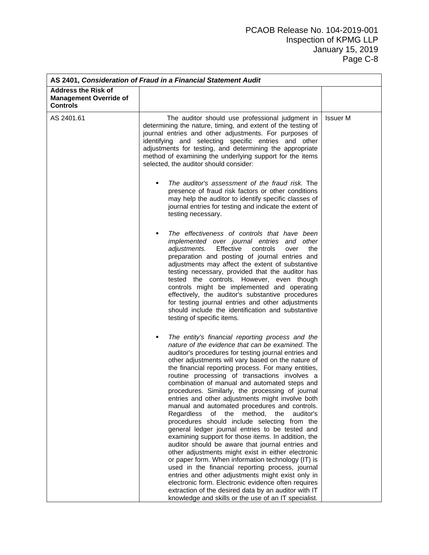| AS 2401, Consideration of Fraud in a Financial Statement Audit                 |                                                                                                                                                                                                                                                                                                                                                                                                                                                                                                                                                                                                                                                                                                                                                                                                                                                                                                                                                                                                                                                                                                                                                                                                               |                 |  |
|--------------------------------------------------------------------------------|---------------------------------------------------------------------------------------------------------------------------------------------------------------------------------------------------------------------------------------------------------------------------------------------------------------------------------------------------------------------------------------------------------------------------------------------------------------------------------------------------------------------------------------------------------------------------------------------------------------------------------------------------------------------------------------------------------------------------------------------------------------------------------------------------------------------------------------------------------------------------------------------------------------------------------------------------------------------------------------------------------------------------------------------------------------------------------------------------------------------------------------------------------------------------------------------------------------|-----------------|--|
| <b>Address the Risk of</b><br><b>Management Override of</b><br><b>Controls</b> |                                                                                                                                                                                                                                                                                                                                                                                                                                                                                                                                                                                                                                                                                                                                                                                                                                                                                                                                                                                                                                                                                                                                                                                                               |                 |  |
| AS 2401.61                                                                     | The auditor should use professional judgment in<br>determining the nature, timing, and extent of the testing of<br>journal entries and other adjustments. For purposes of<br>identifying and selecting specific entries and other<br>adjustments for testing, and determining the appropriate<br>method of examining the underlying support for the items<br>selected, the auditor should consider:                                                                                                                                                                                                                                                                                                                                                                                                                                                                                                                                                                                                                                                                                                                                                                                                           | <b>Issuer M</b> |  |
|                                                                                | The auditor's assessment of the fraud risk. The<br>presence of fraud risk factors or other conditions<br>may help the auditor to identify specific classes of<br>journal entries for testing and indicate the extent of<br>testing necessary.                                                                                                                                                                                                                                                                                                                                                                                                                                                                                                                                                                                                                                                                                                                                                                                                                                                                                                                                                                 |                 |  |
|                                                                                | The effectiveness of controls that have been<br>implemented over journal entries and other<br>Effective<br>adjustments.<br>controls<br>the<br>over<br>preparation and posting of journal entries and<br>adjustments may affect the extent of substantive<br>testing necessary, provided that the auditor has<br>tested the controls. However, even though<br>controls might be implemented and operating<br>effectively, the auditor's substantive procedures<br>for testing journal entries and other adjustments<br>should include the identification and substantive<br>testing of specific items.                                                                                                                                                                                                                                                                                                                                                                                                                                                                                                                                                                                                         |                 |  |
|                                                                                | The entity's financial reporting process and the<br>٠<br>nature of the evidence that can be examined. The<br>auditor's procedures for testing journal entries and<br>other adjustments will vary based on the nature of<br>the financial reporting process. For many entities,<br>routine processing of transactions involves a<br>combination of manual and automated steps and<br>procedures. Similarly, the processing of journal<br>entries and other adjustments might involve both<br>manual and automated procedures and controls.<br>Regardless<br>of<br>the<br>method,<br>the<br>auditor's<br>procedures should include selecting from the<br>general ledger journal entries to be tested and<br>examining support for those items. In addition, the<br>auditor should be aware that journal entries and<br>other adjustments might exist in either electronic<br>or paper form. When information technology (IT) is<br>used in the financial reporting process, journal<br>entries and other adjustments might exist only in<br>electronic form. Electronic evidence often requires<br>extraction of the desired data by an auditor with IT<br>knowledge and skills or the use of an IT specialist. |                 |  |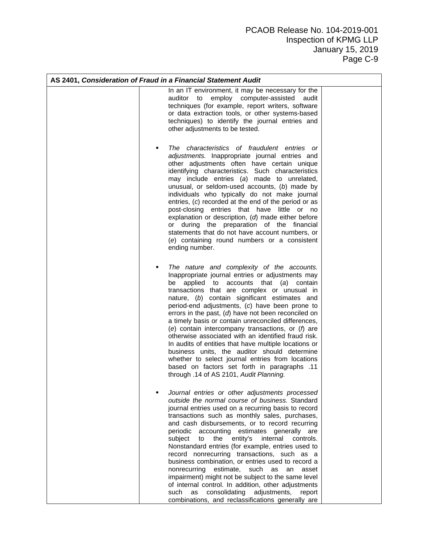| AS 2401, Consideration of Fraud in a Financial Statement Audit |                                                                                                                                                                                                                                                                                                                                                                                                                                                                                                                                                                                                                                                                                                                                                                                                                  |  |  |
|----------------------------------------------------------------|------------------------------------------------------------------------------------------------------------------------------------------------------------------------------------------------------------------------------------------------------------------------------------------------------------------------------------------------------------------------------------------------------------------------------------------------------------------------------------------------------------------------------------------------------------------------------------------------------------------------------------------------------------------------------------------------------------------------------------------------------------------------------------------------------------------|--|--|
|                                                                | In an IT environment, it may be necessary for the<br>employ computer-assisted<br>auditor to<br>audit<br>techniques (for example, report writers, software<br>or data extraction tools, or other systems-based<br>techniques) to identify the journal entries and<br>other adjustments to be tested.                                                                                                                                                                                                                                                                                                                                                                                                                                                                                                              |  |  |
|                                                                | The characteristics of fraudulent entries or<br>adjustments. Inappropriate journal entries and<br>other adjustments often have certain unique<br>identifying characteristics. Such characteristics<br>may include entries (a) made to unrelated,<br>unusual, or seldom-used accounts, (b) made by<br>individuals who typically do not make journal<br>entries, (c) recorded at the end of the period or as<br>post-closing entries that have little or no<br>explanation or description, (d) made either before<br>or during the preparation of the financial<br>statements that do not have account numbers, or<br>(e) containing round numbers or a consistent<br>ending number.                                                                                                                               |  |  |
|                                                                | The nature and complexity of the accounts.<br>Inappropriate journal entries or adjustments may<br>applied to accounts that (a) contain<br>be<br>transactions that are complex or unusual in<br>nature, (b) contain significant estimates and<br>period-end adjustments, (c) have been prone to<br>errors in the past, $(d)$ have not been reconciled on<br>a timely basis or contain unreconciled differences,<br>(e) contain intercompany transactions, or $(f)$ are<br>otherwise associated with an identified fraud risk.<br>In audits of entities that have multiple locations or<br>business units, the auditor should determine<br>whether to select journal entries from locations<br>11. based on factors set forth in paragraphs<br>through .14 of AS 2101, Audit Planning.                             |  |  |
|                                                                | Journal entries or other adjustments processed<br>outside the normal course of business. Standard<br>journal entries used on a recurring basis to record<br>transactions such as monthly sales, purchases,<br>and cash disbursements, or to record recurring<br>accounting estimates generally<br>periodic<br>are<br>subject<br>the<br>entity's<br>internal<br>to<br>controls.<br>Nonstandard entries (for example, entries used to<br>record nonrecurring transactions, such as a<br>business combination, or entries used to record a<br>nonrecurring<br>estimate, such as<br>an<br>asset<br>impairment) might not be subject to the same level<br>of internal control. In addition, other adjustments<br>consolidating<br>adjustments, report<br>such as<br>combinations, and reclassifications generally are |  |  |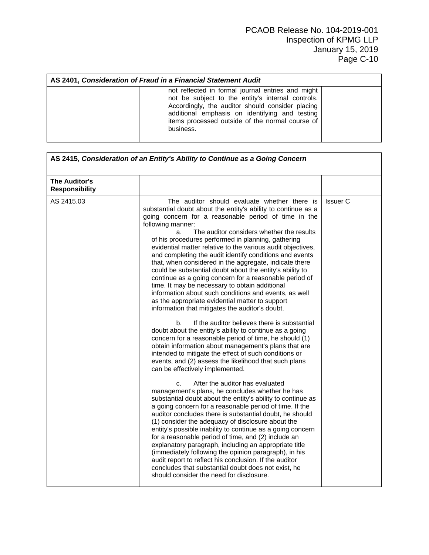| AS 2401, Consideration of Fraud in a Financial Statement Audit                                                                                                                                                                                                               |  |  |  |
|------------------------------------------------------------------------------------------------------------------------------------------------------------------------------------------------------------------------------------------------------------------------------|--|--|--|
| not reflected in formal journal entries and might<br>not be subject to the entity's internal controls.<br>Accordingly, the auditor should consider placing<br>additional emphasis on identifying and testing<br>items processed outside of the normal course of<br>business. |  |  |  |

| The Auditor's<br><b>Responsibility</b> |                                                                                                                                                                                                                                                                                                                                                                                                                                                                                                                                                                                                                                                                                                                                                                                                                                |          |
|----------------------------------------|--------------------------------------------------------------------------------------------------------------------------------------------------------------------------------------------------------------------------------------------------------------------------------------------------------------------------------------------------------------------------------------------------------------------------------------------------------------------------------------------------------------------------------------------------------------------------------------------------------------------------------------------------------------------------------------------------------------------------------------------------------------------------------------------------------------------------------|----------|
| AS 2415.03                             | The auditor should evaluate whether there is<br>substantial doubt about the entity's ability to continue as a<br>going concern for a reasonable period of time in the<br>following manner:<br>The auditor considers whether the results<br>a.<br>of his procedures performed in planning, gathering<br>evidential matter relative to the various audit objectives,<br>and completing the audit identify conditions and events<br>that, when considered in the aggregate, indicate there<br>could be substantial doubt about the entity's ability to<br>continue as a going concern for a reasonable period of<br>time. It may be necessary to obtain additional<br>information about such conditions and events, as well<br>as the appropriate evidential matter to support<br>information that mitigates the auditor's doubt. | Issuer C |
|                                        | If the auditor believes there is substantial<br>b.<br>doubt about the entity's ability to continue as a going<br>concern for a reasonable period of time, he should (1)<br>obtain information about management's plans that are<br>intended to mitigate the effect of such conditions or<br>events, and (2) assess the likelihood that such plans<br>can be effectively implemented.                                                                                                                                                                                                                                                                                                                                                                                                                                           |          |
|                                        | After the auditor has evaluated<br>C <sub>1</sub><br>management's plans, he concludes whether he has<br>substantial doubt about the entity's ability to continue as<br>a going concern for a reasonable period of time. If the<br>auditor concludes there is substantial doubt, he should<br>(1) consider the adequacy of disclosure about the<br>entity's possible inability to continue as a going concern<br>for a reasonable period of time, and (2) include an<br>explanatory paragraph, including an appropriate title<br>(immediately following the opinion paragraph), in his<br>audit report to reflect his conclusion. If the auditor<br>concludes that substantial doubt does not exist, he<br>should consider the need for disclosure.                                                                             |          |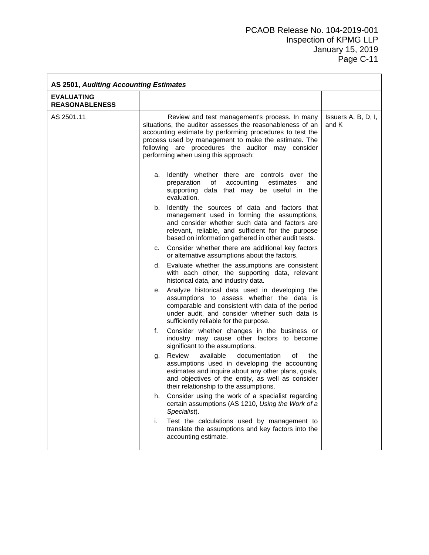| <b>AS 2501, Auditing Accounting Estimates</b> |                                                                                                                                                                                                                                                                                                                             |                              |  |
|-----------------------------------------------|-----------------------------------------------------------------------------------------------------------------------------------------------------------------------------------------------------------------------------------------------------------------------------------------------------------------------------|------------------------------|--|
| <b>EVALUATING</b><br><b>REASONABLENESS</b>    |                                                                                                                                                                                                                                                                                                                             |                              |  |
| AS 2501.11                                    | Review and test management's process. In many<br>situations, the auditor assesses the reasonableness of an<br>accounting estimate by performing procedures to test the<br>process used by management to make the estimate. The<br>following are procedures the auditor may consider<br>performing when using this approach: | Issuers A, B, D, I,<br>and K |  |
|                                               | Identify whether there are controls over the<br>а.<br>preparation<br>of<br>accounting<br>estimates<br>and<br>supporting data that may be useful in the<br>evaluation.                                                                                                                                                       |                              |  |
|                                               | Identify the sources of data and factors that<br>b.<br>management used in forming the assumptions,<br>and consider whether such data and factors are<br>relevant, reliable, and sufficient for the purpose<br>based on information gathered in other audit tests.                                                           |                              |  |
|                                               | Consider whether there are additional key factors<br>C.<br>or alternative assumptions about the factors.                                                                                                                                                                                                                    |                              |  |
|                                               | d. Evaluate whether the assumptions are consistent<br>with each other, the supporting data, relevant<br>historical data, and industry data.                                                                                                                                                                                 |                              |  |
|                                               | Analyze historical data used in developing the<br>е.<br>assumptions to assess whether the data is<br>comparable and consistent with data of the period<br>under audit, and consider whether such data is<br>sufficiently reliable for the purpose.                                                                          |                              |  |
|                                               | f.<br>Consider whether changes in the business or<br>industry may cause other factors to become<br>significant to the assumptions.                                                                                                                                                                                          |                              |  |
|                                               | available<br>documentation<br>Review<br>οf<br>the<br>g.<br>assumptions used in developing the accounting<br>estimates and inquire about any other plans, goals,<br>and objectives of the entity, as well as consider<br>their relationship to the assumptions.                                                              |                              |  |
|                                               | Consider using the work of a specialist regarding<br>h.<br>certain assumptions (AS 1210, Using the Work of a<br>Specialist).                                                                                                                                                                                                |                              |  |
|                                               | Test the calculations used by management to<br>i.<br>translate the assumptions and key factors into the<br>accounting estimate.                                                                                                                                                                                             |                              |  |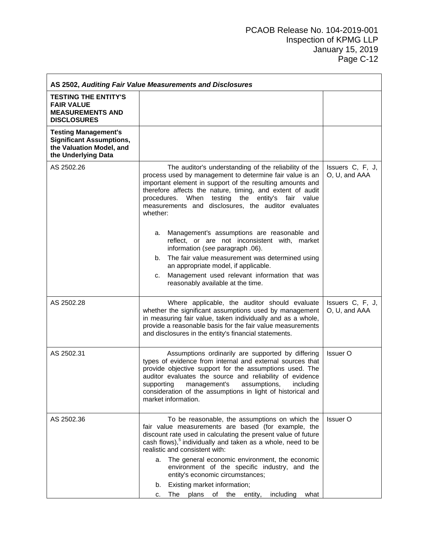## PCAOB Release No. 104-2019-001 Inspection of KPMG LLP January 15, 2019 Page C-12

| AS 2502, Auditing Fair Value Measurements and Disclosures                                                         |                                                                                                                                                                                                                                                                                                                                                                                        |                                   |  |
|-------------------------------------------------------------------------------------------------------------------|----------------------------------------------------------------------------------------------------------------------------------------------------------------------------------------------------------------------------------------------------------------------------------------------------------------------------------------------------------------------------------------|-----------------------------------|--|
| <b>TESTING THE ENTITY'S</b><br><b>FAIR VALUE</b><br><b>MEASUREMENTS AND</b><br><b>DISCLOSURES</b>                 |                                                                                                                                                                                                                                                                                                                                                                                        |                                   |  |
| <b>Testing Management's</b><br><b>Significant Assumptions,</b><br>the Valuation Model, and<br>the Underlying Data |                                                                                                                                                                                                                                                                                                                                                                                        |                                   |  |
| AS 2502.26                                                                                                        | The auditor's understanding of the reliability of the<br>process used by management to determine fair value is an<br>important element in support of the resulting amounts and<br>therefore affects the nature, timing, and extent of audit<br>procedures. When testing the entity's fair value<br>measurements and disclosures, the auditor evaluates<br>whether:                     | Issuers C, F, J,<br>O, U, and AAA |  |
|                                                                                                                   | Management's assumptions are reasonable and<br>a.<br>reflect, or are not inconsistent with, market<br>information (see paragraph .06).                                                                                                                                                                                                                                                 |                                   |  |
|                                                                                                                   | The fair value measurement was determined using<br>b.<br>an appropriate model, if applicable.<br>Management used relevant information that was<br>C.<br>reasonably available at the time.                                                                                                                                                                                              |                                   |  |
| AS 2502.28                                                                                                        | Where applicable, the auditor should evaluate<br>whether the significant assumptions used by management<br>in measuring fair value, taken individually and as a whole,<br>provide a reasonable basis for the fair value measurements<br>and disclosures in the entity's financial statements.                                                                                          | Issuers C, F, J,<br>O, U, and AAA |  |
| AS 2502.31                                                                                                        | Assumptions ordinarily are supported by differing<br>types of evidence from internal and external sources that<br>provide objective support for the assumptions used. The<br>auditor evaluates the source and reliability of evidence<br>assumptions,<br>supporting<br>management's<br>including<br>consideration of the assumptions in light of historical and<br>market information. | <b>Issuer O</b>                   |  |
| AS 2502.36                                                                                                        | To be reasonable, the assumptions on which the<br>fair value measurements are based (for example, the<br>discount rate used in calculating the present value of future<br>cash flows), <sup>5</sup> individually and taken as a whole, need to be<br>realistic and consistent with:                                                                                                    | <b>Issuer O</b>                   |  |
|                                                                                                                   | a. The general economic environment, the economic<br>environment of the specific industry, and the<br>entity's economic circumstances;<br>Existing market information;<br>b.<br>The plans of the entity,<br>including<br>what<br>C.                                                                                                                                                    |                                   |  |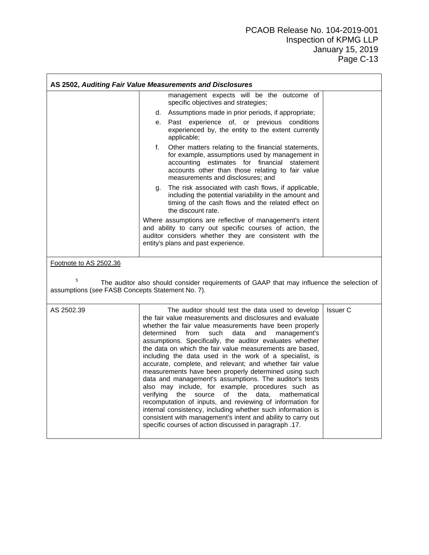|                                                       | AS 2502, Auditing Fair Value Measurements and Disclosures                                                                                                                                                                                                                                                                                                                                                                                                                                                                                                                                                                                                                                                                                                                                                                                                                                                                                                                                        |
|-------------------------------------------------------|--------------------------------------------------------------------------------------------------------------------------------------------------------------------------------------------------------------------------------------------------------------------------------------------------------------------------------------------------------------------------------------------------------------------------------------------------------------------------------------------------------------------------------------------------------------------------------------------------------------------------------------------------------------------------------------------------------------------------------------------------------------------------------------------------------------------------------------------------------------------------------------------------------------------------------------------------------------------------------------------------|
|                                                       | management expects will be the outcome of<br>specific objectives and strategies;                                                                                                                                                                                                                                                                                                                                                                                                                                                                                                                                                                                                                                                                                                                                                                                                                                                                                                                 |
|                                                       | d. Assumptions made in prior periods, if appropriate;                                                                                                                                                                                                                                                                                                                                                                                                                                                                                                                                                                                                                                                                                                                                                                                                                                                                                                                                            |
|                                                       | e. Past experience of, or previous conditions<br>experienced by, the entity to the extent currently<br>applicable;                                                                                                                                                                                                                                                                                                                                                                                                                                                                                                                                                                                                                                                                                                                                                                                                                                                                               |
|                                                       | Other matters relating to the financial statements,<br>f.<br>for example, assumptions used by management in<br>accounting estimates for financial statement<br>accounts other than those relating to fair value<br>measurements and disclosures; and                                                                                                                                                                                                                                                                                                                                                                                                                                                                                                                                                                                                                                                                                                                                             |
|                                                       | The risk associated with cash flows, if applicable,<br>g.<br>including the potential variability in the amount and<br>timing of the cash flows and the related effect on<br>the discount rate.                                                                                                                                                                                                                                                                                                                                                                                                                                                                                                                                                                                                                                                                                                                                                                                                   |
|                                                       | Where assumptions are reflective of management's intent<br>and ability to carry out specific courses of action, the<br>auditor considers whether they are consistent with the<br>entity's plans and past experience.                                                                                                                                                                                                                                                                                                                                                                                                                                                                                                                                                                                                                                                                                                                                                                             |
| Footnote to AS 2502.36                                |                                                                                                                                                                                                                                                                                                                                                                                                                                                                                                                                                                                                                                                                                                                                                                                                                                                                                                                                                                                                  |
| 5<br>assumptions (see FASB Concepts Statement No. 7). | The auditor also should consider requirements of GAAP that may influence the selection of                                                                                                                                                                                                                                                                                                                                                                                                                                                                                                                                                                                                                                                                                                                                                                                                                                                                                                        |
| AS 2502.39                                            | The auditor should test the data used to develop<br>Issuer C<br>the fair value measurements and disclosures and evaluate<br>whether the fair value measurements have been properly<br>determined<br>from<br>such<br>data<br>and<br>management's<br>assumptions. Specifically, the auditor evaluates whether<br>the data on which the fair value measurements are based,<br>including the data used in the work of a specialist, is<br>accurate, complete, and relevant; and whether fair value<br>measurements have been properly determined using such<br>data and management's assumptions. The auditor's tests<br>also may include, for example, procedures such as<br>source<br>of<br>verifying<br>the<br>the<br>data,<br>mathematical<br>recomputation of inputs, and reviewing of information for<br>internal consistency, including whether such information is<br>consistent with management's intent and ability to carry out<br>specific courses of action discussed in paragraph .17. |